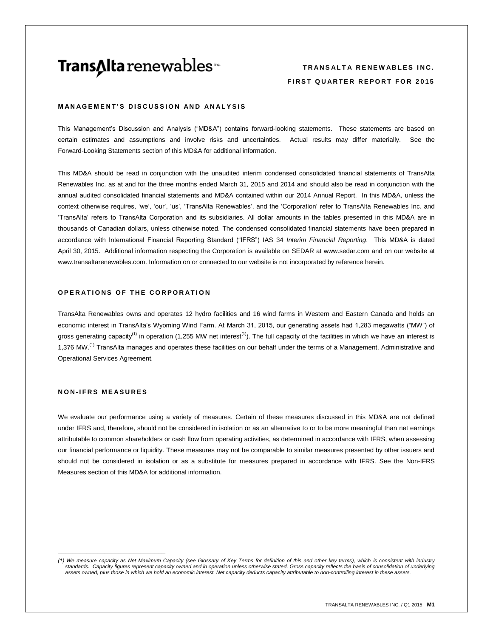# **Trans∆Ita** renewables<sup>™</sup>

# **T R A N S A L T A R E N E W A B L E S I N C . FIRST QUARTER REPORT FOR 2015**

### **MANAGEMENT'S DISCUSSION AND ANALYSIS**

This Management's Discussion and Analysis ("MD&A") contains forward-looking statements. These statements are based on certain estimates and assumptions and involve risks and uncertainties. Actual results may differ materially. See the Forward-Looking Statements section of this MD&A for additional information.

This MD&A should be read in conjunction with the unaudited interim condensed consolidated financial statements of TransAlta Renewables Inc. as at and for the three months ended March 31, 2015 and 2014 and should also be read in conjunction with the annual audited consolidated financial statements and MD&A contained within our 2014 Annual Report. In this MD&A, unless the context otherwise requires, 'we', 'our', 'us', 'TransAlta Renewables', and the 'Corporation' refer to TransAlta Renewables Inc. and 'TransAlta' refers to TransAlta Corporation and its subsidiaries. All dollar amounts in the tables presented in this MD&A are in thousands of Canadian dollars, unless otherwise noted. The condensed consolidated financial statements have been prepared in accordance with International Financial Reporting Standard ("IFRS") IAS 34 *Interim Financial Reporting*. This MD&A is dated April 30, 2015. Additional information respecting the Corporation is available on SEDAR at [www.sedar.com](http://www.sedar.com/) and on our website at www.transaltarenewables.com. Information on or connected to our website is not incorporated by reference herein.

# **OPERATIONS OF THE CORPORATION**

TransAlta Renewables owns and operates 12 hydro facilities and 16 wind farms in Western and Eastern Canada and holds an economic interest in TransAlta's Wyoming Wind Farm. At March 31, 2015, our generating assets had 1,283 megawatts ("MW") of gross generating capacity<sup>(1)</sup> in operation (1,255 MW net interest<sup>(1)</sup>). The full capacity of the facilities in which we have an interest is 1,376 MW.<sup>(1)</sup> TransAlta manages and operates these facilities on our behalf under the terms of a Management, Administrative and Operational Services Agreement.

### **N O N - I F R S M E A S U R E S**

\_\_\_\_\_\_\_\_\_\_\_\_\_\_\_\_\_\_\_\_\_\_\_\_\_\_\_\_\_\_

We evaluate our performance using a variety of measures. Certain of these measures discussed in this MD&A are not defined under IFRS and, therefore, should not be considered in isolation or as an alternative to or to be more meaningful than net earnings attributable to common shareholders or cash flow from operating activities, as determined in accordance with IFRS, when assessing our financial performance or liquidity. These measures may not be comparable to similar measures presented by other issuers and should not be considered in isolation or as a substitute for measures prepared in accordance with IFRS. See the Non-IFRS Measures section of this MD&A for additional information.

*<sup>(1)</sup> We measure capacity as Net Maximum Capacity (see Glossary of Key Terms for definition of this and other key terms), which is consistent with industry standards. Capacity figures represent capacity owned and in operation unless otherwise stated. Gross capacity reflects the basis of consolidation of underlying assets owned, plus those in which we hold an economic interest. Net capacity deducts capacity attributable to non-controlling interest in these assets.*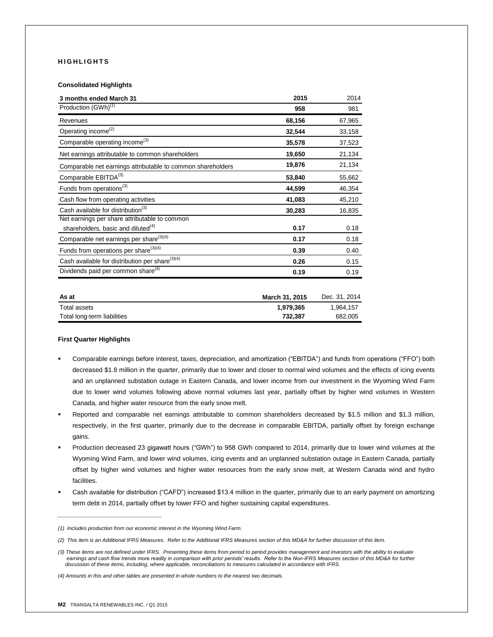## **H I G H L I G H T S**

### **Consolidated Highlights**

| 3 months ended March 31                                     | 2015   | 2014   |
|-------------------------------------------------------------|--------|--------|
| Production (GWh) <sup>(1)</sup>                             | 958    | 981    |
| Revenues                                                    | 68,156 | 67,965 |
| Operating income <sup>(2)</sup>                             | 32,544 | 33,158 |
| Comparable operating income <sup>(3)</sup>                  | 35,578 | 37,523 |
| Net earnings attributable to common shareholders            | 19,650 | 21,134 |
| Comparable net earnings attributable to common shareholders | 19,876 | 21,134 |
| Comparable EBITDA <sup>(3)</sup>                            | 53,840 | 55,662 |
| Funds from operations <sup>(3)</sup>                        | 44,599 | 46,354 |
| Cash flow from operating activities                         | 41,083 | 45,210 |
| Cash available for distribution <sup>(3)</sup>              | 30,283 | 16,835 |
| Net earnings per share attributable to common               |        |        |
| shareholders, basic and diluted <sup>(4)</sup>              | 0.17   | 0.18   |
| Comparable net earnings per share <sup>(3)(4)</sup>         | 0.17   | 0.18   |
| Funds from operations per share <sup>(3)(4)</sup>           | 0.39   | 0.40   |
| Cash available for distribution per share <sup>(3)(4)</sup> | 0.26   | 0.15   |
| Dividends paid per common share <sup>(4)</sup>              | 0.19   | 0.19   |

| As at                       | March 31, 2015 | Dec. 31, 2014 |
|-----------------------------|----------------|---------------|
| Total assets                | 1.979.365      | 1.964.157     |
| Total long-term liabilities | 732.387        | 682.005       |

### **First Quarter Highlights**

- Comparable earnings before interest, taxes, depreciation, and amortization ("EBITDA") and funds from operations ("FFO") both decreased \$1.8 million in the quarter, primarily due to lower and closer to normal wind volumes and the effects of icing events and an unplanned substation outage in Eastern Canada, and lower income from our investment in the Wyoming Wind Farm due to lower wind volumes following above normal volumes last year, partially offset by higher wind volumes in Western Canada, and higher water resource from the early snow melt.
- Reported and comparable net earnings attributable to common shareholders decreased by \$1.5 million and \$1.3 million, respectively, in the first quarter, primarily due to the decrease in comparable EBITDA, partially offset by foreign exchange gains.
- Production decreased 23 gigawatt hours ("GWh") to 958 GWh compared to 2014, primarily due to lower wind volumes at the Wyoming Wind Farm, and lower wind volumes, icing events and an unplanned substation outage in Eastern Canada, partially offset by higher wind volumes and higher water resources from the early snow melt, at Western Canada wind and hydro facilities.
- Cash available for distribution ("CAFD") increased \$13.4 million in the quarter, primarily due to an early payment on amortizing term debt in 2014, partially offset by lower FFO and higher sustaining capital expenditures.

*\_\_\_\_\_\_\_\_\_\_\_\_\_\_\_\_\_\_\_\_\_\_\_\_\_\_\_\_\_*

*<sup>(1)</sup> Includes production from our economic interest in the Wyoming Wind Farm.*

*<sup>(2)</sup> This item is an Additional IFRS Measures. Refer to the Additional IFRS Measures section of this MD&A for further discussion of this item.*

*<sup>(3)</sup> These items are not defined under IFRS. Presenting these items from period to period provides management and investors with the ability to evaluate*  earnings and cash flow trends more readily in comparison with prior periods' results. Refer to the Non-IFRS Measures section of this MD&A for further  *discussion of these items, including, where applicable, reconciliations to measures calculated in accordance with IFRS.* 

*<sup>(4)</sup> Amounts in this and other tables are presented in whole numbers to the nearest two decimals.*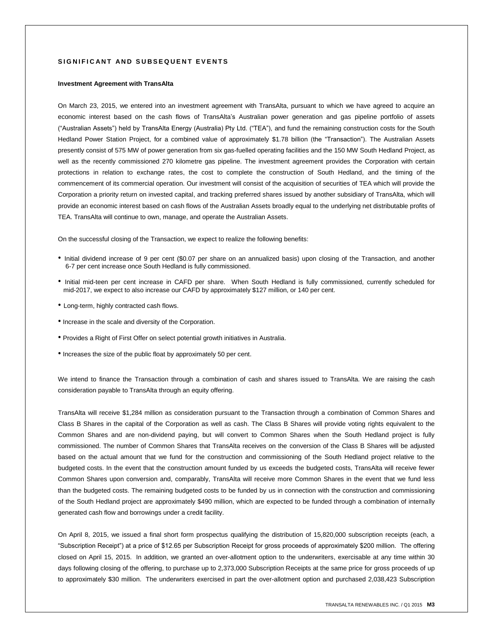### **S I G N I F I C A N T A N D S U B S E Q U E N T E V E N T S**

#### **Investment Agreement with TransAlta**

On March 23, 2015, we entered into an investment agreement with TransAlta, pursuant to which we have agreed to acquire an economic interest based on the cash flows of TransAlta's Australian power generation and gas pipeline portfolio of assets ("Australian Assets") held by TransAlta Energy (Australia) Pty Ltd. ("TEA"), and fund the remaining construction costs for the South Hedland Power Station Project, for a combined value of approximately \$1.78 billion (the "Transaction"). The Australian Assets presently consist of 575 MW of power generation from six gas-fuelled operating facilities and the 150 MW South Hedland Project, as well as the recently commissioned 270 kilometre gas pipeline. The investment agreement provides the Corporation with certain protections in relation to exchange rates, the cost to complete the construction of South Hedland, and the timing of the commencement of its commercial operation. Our investment will consist of the acquisition of securities of TEA which will provide the Corporation a priority return on invested capital, and tracking preferred shares issued by another subsidiary of TransAlta, which will provide an economic interest based on cash flows of the Australian Assets broadly equal to the underlying net distributable profits of TEA. TransAlta will continue to own, manage, and operate the Australian Assets.

On the successful closing of the Transaction, we expect to realize the following benefits:

- Initial dividend increase of 9 per cent (\$0.07 per share on an annualized basis) upon closing of the Transaction, and another 6-7 per cent increase once South Hedland is fully commissioned.
- Initial mid-teen per cent increase in CAFD per share. When South Hedland is fully commissioned, currently scheduled for mid-2017, we expect to also increase our CAFD by approximately \$127 million, or 140 per cent.
- Long-term, highly contracted cash flows.
- Increase in the scale and diversity of the Corporation.
- Provides a Right of First Offer on select potential growth initiatives in Australia.
- Increases the size of the public float by approximately 50 per cent.

We intend to finance the Transaction through a combination of cash and shares issued to TransAlta. We are raising the cash consideration payable to TransAlta through an equity offering.

TransAlta will receive \$1,284 million as consideration pursuant to the Transaction through a combination of Common Shares and Class B Shares in the capital of the Corporation as well as cash. The Class B Shares will provide voting rights equivalent to the Common Shares and are non-dividend paying, but will convert to Common Shares when the South Hedland project is fully commissioned. The number of Common Shares that TransAlta receives on the conversion of the Class B Shares will be adjusted based on the actual amount that we fund for the construction and commissioning of the South Hedland project relative to the budgeted costs. In the event that the construction amount funded by us exceeds the budgeted costs, TransAlta will receive fewer Common Shares upon conversion and, comparably, TransAlta will receive more Common Shares in the event that we fund less than the budgeted costs. The remaining budgeted costs to be funded by us in connection with the construction and commissioning of the South Hedland project are approximately \$490 million, which are expected to be funded through a combination of internally generated cash flow and borrowings under a credit facility.

On April 8, 2015, we issued a final short form prospectus qualifying the distribution of 15,820,000 subscription receipts (each, a "Subscription Receipt") at a price of \$12.65 per Subscription Receipt for gross proceeds of approximately \$200 million. The offering closed on April 15, 2015. In addition, we granted an over-allotment option to the underwriters, exercisable at any time within 30 days following closing of the offering, to purchase up to 2,373,000 Subscription Receipts at the same price for gross proceeds of up to approximately \$30 million. The underwriters exercised in part the over-allotment option and purchased 2,038,423 Subscription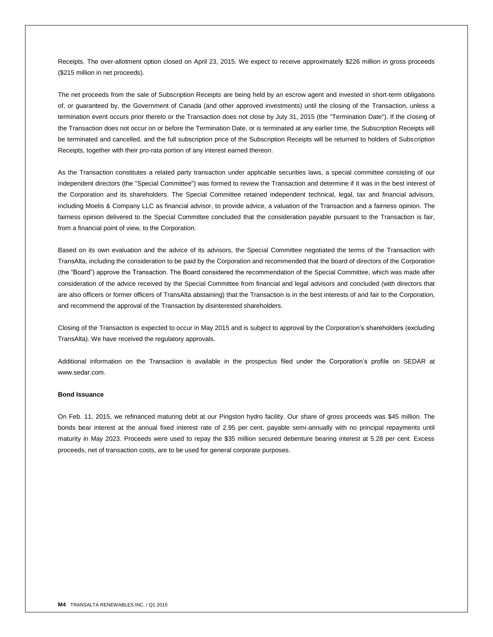Receipts. The over-allotment option closed on April 23, 2015. We expect to receive approximately \$226 million in gross proceeds (\$215 million in net proceeds).

The net proceeds from the sale of Subscription Receipts are being held by an escrow agent and invested in short-term obligations of, or guaranteed by, the Government of Canada (and other approved investments) until the closing of the Transaction, unless a termination event occurs prior thereto or the Transaction does not close by July 31, 2015 (the "Termination Date"). If the closing of the Transaction does not occur on or before the Termination Date, or is terminated at any earlier time, the Subscription Receipts will be terminated and cancelled, and the full subscription price of the Subscription Receipts will be returned to holders of Subscription Receipts, together with their pro-rata portion of any interest earned thereon.

As the Transaction constitutes a related party transaction under applicable securities laws, a special committee consisting of our independent directors (the "Special Committee") was formed to review the Transaction and determine if it was in the best interest of the Corporation and its shareholders. The Special Committee retained independent technical, legal, tax and financial advisors, including Moelis & Company LLC as financial advisor, to provide advice, a valuation of the Transaction and a fairness opinion. The fairness opinion delivered to the Special Committee concluded that the consideration payable pursuant to the Transaction is fair, from a financial point of view, to the Corporation.

Based on its own evaluation and the advice of its advisors, the Special Committee negotiated the terms of the Transaction with TransAlta, including the consideration to be paid by the Corporation and recommended that the board of directors of the Corporation (the "Board") approve the Transaction. The Board considered the recommendation of the Special Committee, which was made after consideration of the advice received by the Special Committee from financial and legal advisors and concluded (with directors that are also officers or former officers of TransAlta abstaining) that the Transaction is in the best interests of and fair to the Corporation, and recommend the approval of the Transaction by disinterested shareholders.

Closing of the Transaction is expected to occur in May 2015 and is subject to approval by the Corporation's shareholders (excluding TransAlta). We have received the regulatory approvals.

Additional information on the Transaction is available in the prospectus filed under the Corporation's profile on SEDAR at www.sedar.com.

### **Bond Issuance**

On Feb. 11, 2015, we refinanced maturing debt at our Pingston hydro facility. Our share of gross proceeds was \$45 million. The bonds bear interest at the annual fixed interest rate of 2.95 per cent, payable semi-annually with no principal repayments until maturity in May 2023. Proceeds were used to repay the \$35 million secured debenture bearing interest at 5.28 per cent. Excess proceeds, net of transaction costs, are to be used for general corporate purposes.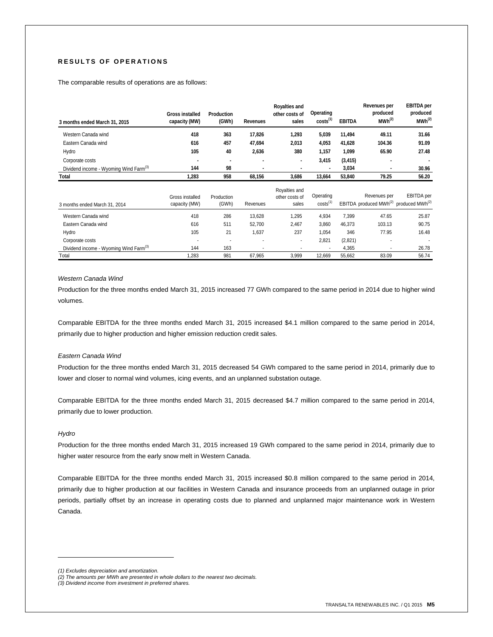# **R E S U L T S O F O P E R A T I O N S**

The comparable results of operations are as follows:

| 3 months ended March 31, 2015                      | <b>Gross installed</b><br>capacity (MW) | Production<br>(GWh) | Revenues | <b>Royalties and</b><br>other costs of<br>sales | Operating<br>costs <sup>(1)</sup> | <b>EBITDA</b> | Revenues per<br>produced<br>$MWh^{(2)}$ | <b>EBITDA</b> per<br>produced<br>MWh <sup>(2)</sup>                          |
|----------------------------------------------------|-----------------------------------------|---------------------|----------|-------------------------------------------------|-----------------------------------|---------------|-----------------------------------------|------------------------------------------------------------------------------|
| Western Canada wind                                | 418                                     | 363                 | 17,826   | 1,293                                           | 5,039                             | 11.494        | 49.11                                   | 31.66                                                                        |
| Eastern Canada wind                                | 616                                     | 457                 | 47.694   | 2,013                                           | 4,053                             | 41.628        | 104.36                                  | 91.09                                                                        |
| Hydro                                              | 105                                     | 40                  | 2.636    | 380                                             | 1.157                             | 1.099         | 65.90                                   | 27.48                                                                        |
| Corporate costs                                    |                                         | ۰                   |          | ٠                                               | 3,415                             | (3, 415)      | ۰                                       |                                                                              |
| Dividend income - Wyoming Wind Farm <sup>(3)</sup> | 144                                     | 98                  |          |                                                 | ٠                                 | 3.034         |                                         | 30.96                                                                        |
| Total                                              | 1,283                                   | 958                 | 68,156   | 3.686                                           | 13,664                            | 53,840        | 79.25                                   | 56.20                                                                        |
| 3 months ended March 31, 2014                      | Gross installed<br>capacity (MW)        | Production<br>(GWh) | Revenues | Royalties and<br>other costs of<br>sales        | Operating<br>costs <sup>(1)</sup> |               | Revenues per                            | EBITDA per<br>EBITDA produced MWh <sup>(2)</sup> produced MWh <sup>(2)</sup> |

| <u>0 1110111110 011000 11101011 0 1. LOTT</u>      |      |                          |        |       |        |         | .      | .     |
|----------------------------------------------------|------|--------------------------|--------|-------|--------|---------|--------|-------|
| Western Canada wind                                | 418  | 286                      | 13.628 | ,295  | 4,934  | 7.399   | 47.65  | 25.87 |
| Eastern Canada wind                                | 616  | 511                      | 52.700 | 2,467 | 3.860  | 46.373  | 103.13 | 90.75 |
| Hydro                                              | 105  | 21                       | .637   | 237   | .054   | 346     | 77.95  | 16.48 |
| Corporate costs                                    |      | $\overline{\phantom{a}}$ |        |       | 2.821  | (2.821) |        |       |
| Dividend income - Wyoming Wind Farm <sup>(3)</sup> | 144  | 163                      | ۰      | ۰     |        | 4.365   |        | 26.78 |
| Total                                              | .283 | 981                      | 67.965 | 3,999 | 12.669 | 55.662  | 83.09  | 56.74 |

### *Western Canada Wind*

Production for the three months ended March 31, 2015 increased 77 GWh compared to the same period in 2014 due to higher wind volumes.

Comparable EBITDA for the three months ended March 31, 2015 increased \$4.1 million compared to the same period in 2014, primarily due to higher production and higher emission reduction credit sales.

### *Eastern Canada Wind*

Production for the three months ended March 31, 2015 decreased 54 GWh compared to the same period in 2014, primarily due to lower and closer to normal wind volumes, icing events, and an unplanned substation outage.

Comparable EBITDA for the three months ended March 31, 2015 decreased \$4.7 million compared to the same period in 2014, primarily due to lower production.

### *Hydro*

 $\overline{a}$ 

Production for the three months ended March 31, 2015 increased 19 GWh compared to the same period in 2014, primarily due to higher water resource from the early snow melt in Western Canada.

Comparable EBITDA for the three months ended March 31, 2015 increased \$0.8 million compared to the same period in 2014, primarily due to higher production at our facilities in Western Canada and insurance proceeds from an unplanned outage in prior periods, partially offset by an increase in operating costs due to planned and unplanned major maintenance work in Western Canada.

*<sup>(1)</sup> Excludes depreciation and amortization.*

*<sup>(2)</sup> The amounts per MWh are presented in whole dollars to the nearest two decimals.*

*<sup>(3)</sup> Dividend income from investment in preferred shares.*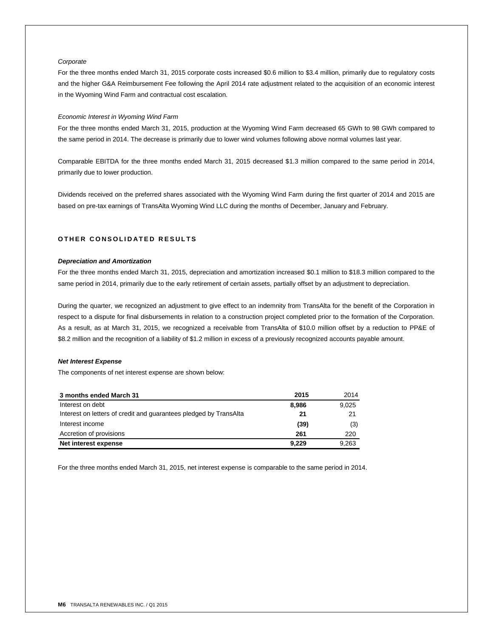## *Corporate*

For the three months ended March 31, 2015 corporate costs increased \$0.6 million to \$3.4 million, primarily due to regulatory costs and the higher G&A Reimbursement Fee following the April 2014 rate adjustment related to the acquisition of an economic interest in the Wyoming Wind Farm and contractual cost escalation.

### *Economic Interest in Wyoming Wind Farm*

For the three months ended March 31, 2015, production at the Wyoming Wind Farm decreased 65 GWh to 98 GWh compared to the same period in 2014. The decrease is primarily due to lower wind volumes following above normal volumes last year.

Comparable EBITDA for the three months ended March 31, 2015 decreased \$1.3 million compared to the same period in 2014, primarily due to lower production.

Dividends received on the preferred shares associated with the Wyoming Wind Farm during the first quarter of 2014 and 2015 are based on pre-tax earnings of TransAlta Wyoming Wind LLC during the months of December, January and February.

# **O T H E R C O N S O L I D A T E D R E S U L T S**

# *Depreciation and Amortization*

For the three months ended March 31, 2015, depreciation and amortization increased \$0.1 million to \$18.3 million compared to the same period in 2014, primarily due to the early retirement of certain assets, partially offset by an adjustment to depreciation.

During the quarter, we recognized an adjustment to give effect to an indemnity from TransAlta for the benefit of the Corporation in respect to a dispute for final disbursements in relation to a construction project completed prior to the formation of the Corporation. As a result, as at March 31, 2015, we recognized a receivable from TransAlta of \$10.0 million offset by a reduction to PP&E of \$8.2 million and the recognition of a liability of \$1.2 million in excess of a previously recognized accounts payable amount.

### *Net Interest Expense*

The components of net interest expense are shown below:

| 3 months ended March 31                                           | 2015  | 2014  |
|-------------------------------------------------------------------|-------|-------|
| Interest on debt                                                  | 8,986 | 9,025 |
| Interest on letters of credit and guarantees pledged by TransAlta | 21    | 21    |
| Interest income                                                   | (39)  | (3)   |
| Accretion of provisions                                           | 261   | 220   |
| Net interest expense                                              | 9.229 | 9,263 |

For the three months ended March 31, 2015, net interest expense is comparable to the same period in 2014.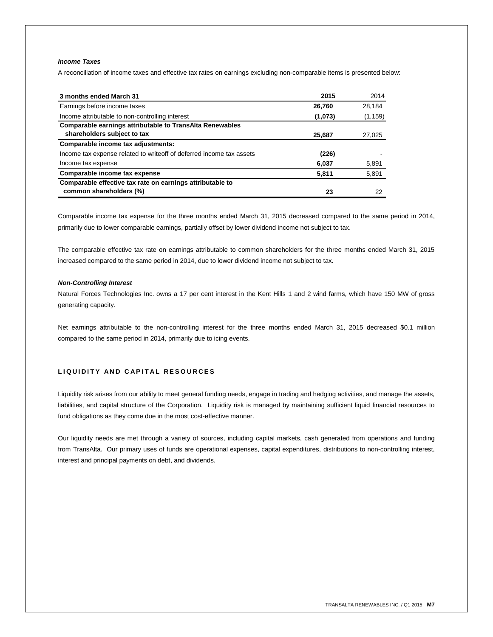# *Income Taxes*

A reconciliation of income taxes and effective tax rates on earnings excluding non-comparable items is presented below:

| 3 months ended March 31                                              | 2015    | 2014     |
|----------------------------------------------------------------------|---------|----------|
| Earnings before income taxes                                         | 26,760  | 28,184   |
| Income attributable to non-controlling interest                      | (1,073) | (1, 159) |
| <b>Comparable earnings attributable to TransAlta Renewables</b>      |         |          |
| shareholders subject to tax                                          | 25,687  | 27,025   |
| Comparable income tax adjustments:                                   |         |          |
| Income tax expense related to writeoff of deferred income tax assets | (226)   |          |
| Income tax expense                                                   | 6,037   | 5,891    |
| Comparable income tax expense                                        | 5,811   | 5,891    |
| Comparable effective tax rate on earnings attributable to            |         |          |
| common shareholders (%)                                              | 23      | 22       |

Comparable income tax expense for the three months ended March 31, 2015 decreased compared to the same period in 2014, primarily due to lower comparable earnings, partially offset by lower dividend income not subject to tax.

The comparable effective tax rate on earnings attributable to common shareholders for the three months ended March 31, 2015 increased compared to the same period in 2014, due to lower dividend income not subject to tax.

### *Non-Controlling Interest*

Natural Forces Technologies Inc. owns a 17 per cent interest in the Kent Hills 1 and 2 wind farms, which have 150 MW of gross generating capacity.

Net earnings attributable to the non-controlling interest for the three months ended March 31, 2015 decreased \$0.1 million compared to the same period in 2014, primarily due to icing events.

# **L I Q U I D I T Y A N D C A P I T A L R E S O U R C E S**

Liquidity risk arises from our ability to meet general funding needs, engage in trading and hedging activities, and manage the assets, liabilities, and capital structure of the Corporation. Liquidity risk is managed by maintaining sufficient liquid financial resources to fund obligations as they come due in the most cost-effective manner.

Our liquidity needs are met through a variety of sources, including capital markets, cash generated from operations and funding from TransAlta. Our primary uses of funds are operational expenses, capital expenditures, distributions to non-controlling interest, interest and principal payments on debt, and dividends.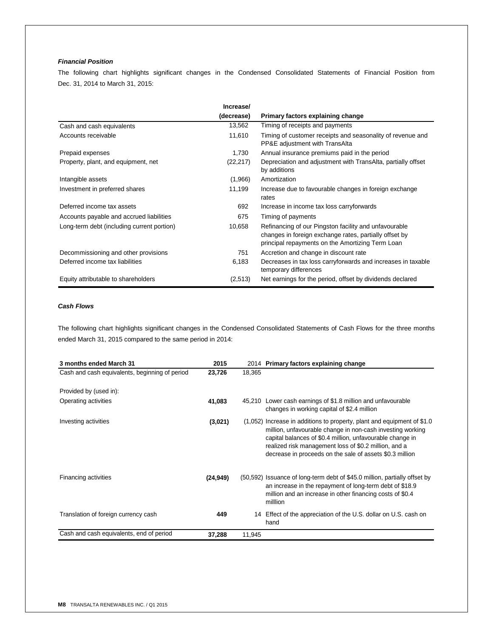# *Financial Position*

The following chart highlights significant changes in the Condensed Consolidated Statements of Financial Position from Dec. 31, 2014 to March 31, 2015:

|                                            | Increase/  |                                                                                                                                                                     |
|--------------------------------------------|------------|---------------------------------------------------------------------------------------------------------------------------------------------------------------------|
|                                            | (decrease) | Primary factors explaining change                                                                                                                                   |
| Cash and cash equivalents                  | 13,562     | Timing of receipts and payments                                                                                                                                     |
| Accounts receivable                        | 11,610     | Timing of customer receipts and seasonality of revenue and<br>PP&E adjustment with TransAlta                                                                        |
| Prepaid expenses                           | 1,730      | Annual insurance premiums paid in the period                                                                                                                        |
| Property, plant, and equipment, net        | (22, 217)  | Depreciation and adjustment with TransAlta, partially offset<br>by additions                                                                                        |
| Intangible assets                          | (1,966)    | Amortization                                                                                                                                                        |
| Investment in preferred shares             | 11,199     | Increase due to favourable changes in foreign exchange<br>rates                                                                                                     |
| Deferred income tax assets                 | 692        | Increase in income tax loss carryforwards                                                                                                                           |
| Accounts payable and accrued liabilities   | 675        | Timing of payments                                                                                                                                                  |
| Long-term debt (including current portion) | 10,658     | Refinancing of our Pingston facility and unfavourable<br>changes in foreign exchange rates, partially offset by<br>principal repayments on the Amortizing Term Loan |
| Decommissioning and other provisions       | 751        | Accretion and change in discount rate                                                                                                                               |
| Deferred income tax liabilities            | 6,183      | Decreases in tax loss carryforwards and increases in taxable<br>temporary differences                                                                               |
| Equity attributable to shareholders        | (2,513)    | Net earnings for the period, offset by dividends declared                                                                                                           |

# *Cash Flows*

The following chart highlights significant changes in the Condensed Consolidated Statements of Cash Flows for the three months ended March 31, 2015 compared to the same period in 2014:

| 3 months ended March 31                        | 2015      |        | 2014 Primary factors explaining change                                                                                                                                                                                                                                                                                    |
|------------------------------------------------|-----------|--------|---------------------------------------------------------------------------------------------------------------------------------------------------------------------------------------------------------------------------------------------------------------------------------------------------------------------------|
| Cash and cash equivalents, beginning of period | 23,726    | 18,365 |                                                                                                                                                                                                                                                                                                                           |
| Provided by (used in):                         |           |        |                                                                                                                                                                                                                                                                                                                           |
| Operating activities                           | 41,083    |        | 45,210 Lower cash earnings of \$1.8 million and unfavourable<br>changes in working capital of \$2.4 million                                                                                                                                                                                                               |
| Investing activities                           | (3,021)   |        | $(1,052)$ Increase in additions to property, plant and equipment of \$1.0<br>million, unfavourable change in non-cash investing working<br>capital balances of \$0.4 million, unfavourable change in<br>realized risk management loss of \$0.2 million, and a<br>decrease in proceeds on the sale of assets \$0.3 million |
| Financing activities                           | (24, 949) |        | (50,592) Issuance of long-term debt of \$45.0 million, partially offset by<br>an increase in the repayment of long-term debt of \$18.9<br>million and an increase in other financing costs of \$0.4<br>milllion                                                                                                           |
| Translation of foreign currency cash           | 449       |        | 14 Effect of the appreciation of the U.S. dollar on U.S. cash on<br>hand                                                                                                                                                                                                                                                  |
| Cash and cash equivalents, end of period       | 37,288    | 11,945 |                                                                                                                                                                                                                                                                                                                           |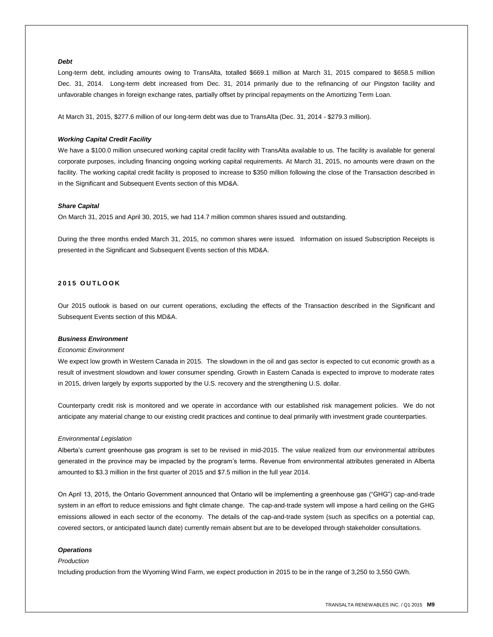### *Debt*

Long-term debt, including amounts owing to TransAlta, totalled \$669.1 million at March 31, 2015 compared to \$658.5 million Dec. 31, 2014. Long-term debt increased from Dec. 31, 2014 primarily due to the refinancing of our Pingston facility and unfavorable changes in foreign exchange rates, partially offset by principal repayments on the Amortizing Term Loan.

At March 31, 2015, \$277.6 million of our long-term debt was due to TransAlta (Dec. 31, 2014 - \$279.3 million).

#### *Working Capital Credit Facility*

We have a \$100.0 million unsecured working capital credit facility with TransAlta available to us. The facility is available for general corporate purposes, including financing ongoing working capital requirements. At March 31, 2015, no amounts were drawn on the facility. The working capital credit facility is proposed to increase to \$350 million following the close of the Transaction described in in the Significant and Subsequent Events section of this MD&A.

### *Share Capital*

On March 31, 2015 and April 30, 2015, we had 114.7 million common shares issued and outstanding.

During the three months ended March 31, 2015, no common shares were issued. Information on issued Subscription Receipts is presented in the Significant and Subsequent Events section of this MD&A.

# **201 5 O U T L O O K**

Our 2015 outlook is based on our current operations, excluding the effects of the Transaction described in the Significant and Subsequent Events section of this MD&A.

#### *Business Environment*

#### *Economic Environment*

We expect low growth in Western Canada in 2015. The slowdown in the oil and gas sector is expected to cut economic growth as a result of investment slowdown and lower consumer spending. Growth in Eastern Canada is expected to improve to moderate rates in 2015, driven largely by exports supported by the U.S. recovery and the strengthening U.S. dollar.

Counterparty credit risk is monitored and we operate in accordance with our established risk management policies. We do not anticipate any material change to our existing credit practices and continue to deal primarily with investment grade counterparties.

#### *Environmental Legislation*

Alberta's current greenhouse gas program is set to be revised in mid-2015. The value realized from our environmental attributes generated in the province may be impacted by the program's terms. Revenue from environmental attributes generated in Alberta amounted to \$3.3 million in the first quarter of 2015 and \$7.5 million in the full year 2014.

On April 13, 2015, the Ontario Government announced that Ontario will be implementing a greenhouse gas ("GHG") cap-and-trade system in an effort to reduce emissions and fight climate change. The cap-and-trade system will impose a hard ceiling on the GHG emissions allowed in each sector of the economy. The details of the cap-and-trade system (such as specifics on a potential cap, covered sectors, or anticipated launch date) currently remain absent but are to be developed through stakeholder consultations.

### *Operations*

#### *Production*

Including production from the Wyoming Wind Farm, we expect production in 2015 to be in the range of 3,250 to 3,550 GWh.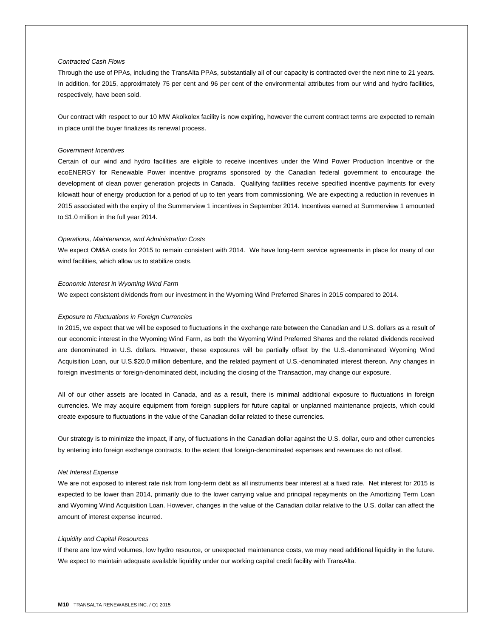### *Contracted Cash Flows*

Through the use of PPAs, including the TransAlta PPAs, substantially all of our capacity is contracted over the next nine to 21 years. In addition, for 2015, approximately 75 per cent and 96 per cent of the environmental attributes from our wind and hydro facilities, respectively, have been sold.

Our contract with respect to our 10 MW Akolkolex facility is now expiring, however the current contract terms are expected to remain in place until the buyer finalizes its renewal process.

### *Government Incentives*

Certain of our wind and hydro facilities are eligible to receive incentives under the Wind Power Production Incentive or the ecoENERGY for Renewable Power incentive programs sponsored by the Canadian federal government to encourage the development of clean power generation projects in Canada. Qualifying facilities receive specified incentive payments for every kilowatt hour of energy production for a period of up to ten years from commissioning. We are expecting a reduction in revenues in 2015 associated with the expiry of the Summerview 1 incentives in September 2014. Incentives earned at Summerview 1 amounted to \$1.0 million in the full year 2014.

#### *Operations, Maintenance, and Administration Costs*

We expect OM&A costs for 2015 to remain consistent with 2014. We have long-term service agreements in place for many of our wind facilities, which allow us to stabilize costs.

#### *Economic Interest in Wyoming Wind Farm*

We expect consistent dividends from our investment in the Wyoming Wind Preferred Shares in 2015 compared to 2014.

### *Exposure to Fluctuations in Foreign Currencies*

In 2015, we expect that we will be exposed to fluctuations in the exchange rate between the Canadian and U.S. dollars as a result of our economic interest in the Wyoming Wind Farm, as both the Wyoming Wind Preferred Shares and the related dividends received are denominated in U.S. dollars. However, these exposures will be partially offset by the U.S.-denominated Wyoming Wind Acquisition Loan, our U.S.\$20.0 million debenture, and the related payment of U.S.-denominated interest thereon. Any changes in foreign investments or foreign-denominated debt, including the closing of the Transaction, may change our exposure.

All of our other assets are located in Canada, and as a result, there is minimal additional exposure to fluctuations in foreign currencies. We may acquire equipment from foreign suppliers for future capital or unplanned maintenance projects, which could create exposure to fluctuations in the value of the Canadian dollar related to these currencies.

Our strategy is to minimize the impact, if any, of fluctuations in the Canadian dollar against the U.S. dollar, euro and other currencies by entering into foreign exchange contracts, to the extent that foreign-denominated expenses and revenues do not offset.

#### *Net Interest Expense*

We are not exposed to interest rate risk from long-term debt as all instruments bear interest at a fixed rate. Net interest for 2015 is expected to be lower than 2014, primarily due to the lower carrying value and principal repayments on the Amortizing Term Loan and Wyoming Wind Acquisition Loan. However, changes in the value of the Canadian dollar relative to the U.S. dollar can affect the amount of interest expense incurred.

### *Liquidity and Capital Resources*

If there are low wind volumes, low hydro resource, or unexpected maintenance costs, we may need additional liquidity in the future. We expect to maintain adequate available liquidity under our working capital credit facility with TransAlta.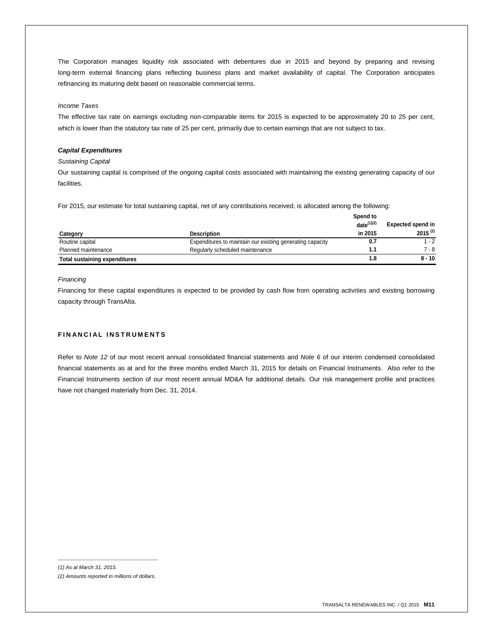The Corporation manages liquidity risk associated with debentures due in 2015 and beyond by preparing and revising long-term external financing plans reflecting business plans and market availability of capital. The Corporation anticipates refinancing its maturing debt based on reasonable commercial terms.

### *Income Taxes*

The effective tax rate on earnings excluding non-comparable items for 2015 is expected to be approximately 20 to 25 per cent, which is lower than the statutory tax rate of 25 per cent, primarily due to certain earnings that are not subject to tax.

### *Capital Expenditures*

### *Sustaining Capital*

Our sustaining capital is comprised of the ongoing capital costs associated with maintaining the existing generating capacity of our facilities.

For 2015, our estimate for total sustaining capital, net of any contributions received, is allocated among the following:

|                                      |                                                           | Spend to<br>date $(1)(2)$ | <b>Expected spend in</b> |
|--------------------------------------|-----------------------------------------------------------|---------------------------|--------------------------|
| Category                             | <b>Description</b>                                        | in 2015                   | $2015^{(2)}$             |
| Routine capital                      | Expenditures to maintain our existing generating capacity | 0.7                       | 1 - 2                    |
| Planned maintenance                  | Regularly scheduled maintenance                           | 1.1                       | 7 - 8                    |
| <b>Total sustaining expenditures</b> |                                                           | 1.8                       | $8 - 10$                 |

### *Financing*

Financing for these capital expenditures is expected to be provided by cash flow from operating activities and existing borrowing capacity through TransAlta.

### **FINANCIAL INSTRUMENTS**

Refer to *Note 12* of our most recent annual consolidated financial statements and *Note 6* of our interim condensed consolidated financial statements as at and for the three months ended March 31, 2015 for details on Financial Instruments. Also refer to the Financial Instruments section of our most recent annual MD&A for additional details. Our risk management profile and practices have not changed materially from Dec. 31, 2014.

*(1) As at March 31, 2015.*

*(2) Amounts reported in millions of dollars.*

*\_\_\_\_\_\_\_\_\_\_\_\_\_\_\_\_\_\_\_\_\_\_\_\_\_\_\_\_*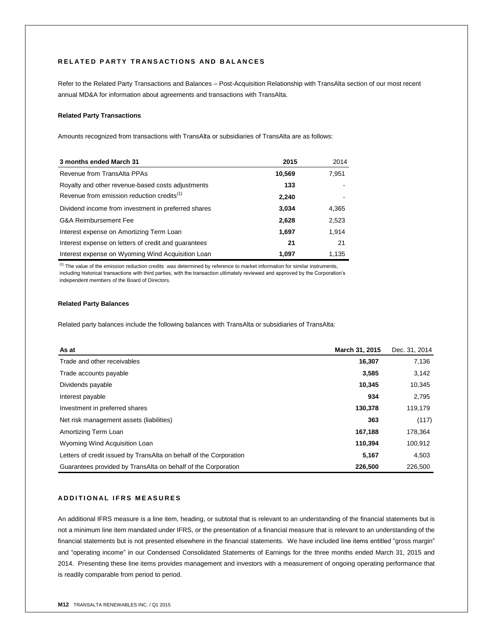# **R E L A T E D P A R T Y T R A N S A C T I O N S A N D B A L A N C E S**

Refer to the Related Party Transactions and Balances – Post-Acquisition Relationship with TransAlta section of our most recent annual MD&A for information about agreements and transactions with TransAlta.

# **Related Party Transactions**

Amounts recognized from transactions with TransAlta or subsidiaries of TransAlta are as follows:

| 3 months ended March 31                                | 2015   | 2014  |
|--------------------------------------------------------|--------|-------|
| Revenue from TransAlta PPAs                            | 10,569 | 7,951 |
| Royalty and other revenue-based costs adjustments      | 133    |       |
| Revenue from emission reduction credits <sup>(1)</sup> | 2,240  |       |
| Dividend income from investment in preferred shares    | 3,034  | 4,365 |
| <b>G&amp;A Reimbursement Fee</b>                       | 2,628  | 2,523 |
| Interest expense on Amortizing Term Loan               | 1,697  | 1,914 |
| Interest expense on letters of credit and quarantees   | 21     | 21    |
| Interest expense on Wyoming Wind Acquisition Loan      | 1.097  | 1,135 |

 $(1)$  The value of the emission reduction credits was determined by reference to market information for similar instruments, including historical transactions with third parties, with the transaction ultimately reviewed and approved by the Corporation's independent members of the Board of Directors.

### **Related Party Balances**

Related party balances include the following balances with TransAlta or subsidiaries of TransAlta:

| As at                                                              | March 31, 2015 | Dec. 31, 2014 |
|--------------------------------------------------------------------|----------------|---------------|
| Trade and other receivables                                        | 16,307         | 7,136         |
| Trade accounts payable                                             | 3,585          | 3,142         |
| Dividends payable                                                  | 10,345         | 10,345        |
| Interest payable                                                   | 934            | 2,795         |
| Investment in preferred shares                                     | 130,378        | 119,179       |
| Net risk management assets (liabilities)                           | 363            | (117)         |
| Amortizing Term Loan                                               | 167,188        | 178,364       |
| Wyoming Wind Acquisition Loan                                      | 110.394        | 100,912       |
| Letters of credit issued by TransAlta on behalf of the Corporation | 5,167          | 4,503         |
| Guarantees provided by TransAlta on behalf of the Corporation      | 226,500        | 226,500       |

### **A D D I T I O N A L I F R S M E A S U R E S**

An additional IFRS measure is a line item, heading, or subtotal that is relevant to an understanding of the financial statements but is not a minimum line item mandated under IFRS, or the presentation of a financial measure that is relevant to an understanding of the financial statements but is not presented elsewhere in the financial statements. We have included line items entitled "gross margin" and "operating income" in our Condensed Consolidated Statements of Earnings for the three months ended March 31, 2015 and 2014. Presenting these line items provides management and investors with a measurement of ongoing operating performance that is readily comparable from period to period.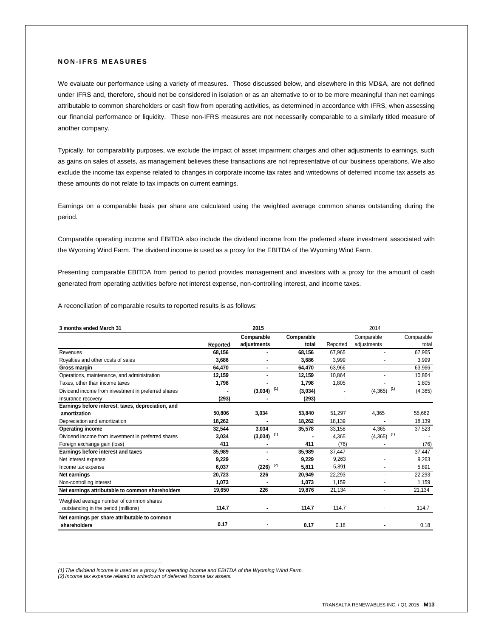### **N O N - I F R S M E A S U R E S**

We evaluate our performance using a variety of measures. Those discussed below, and elsewhere in this MD&A, are not defined under IFRS and, therefore, should not be considered in isolation or as an alternative to or to be more meaningful than net earnings attributable to common shareholders or cash flow from operating activities, as determined in accordance with IFRS, when assessing our financial performance or liquidity. These non-IFRS measures are not necessarily comparable to a similarly titled measure of another company.

Typically, for comparability purposes, we exclude the impact of asset impairment charges and other adjustments to earnings, such as gains on sales of assets, as management believes these transactions are not representative of our business operations. We also exclude the income tax expense related to changes in corporate income tax rates and writedowns of deferred income tax assets as these amounts do not relate to tax impacts on current earnings.

Earnings on a comparable basis per share are calculated using the weighted average common shares outstanding during the period.

Comparable operating income and EBITDA also include the dividend income from the preferred share investment associated with the Wyoming Wind Farm. The dividend income is used as a proxy for the EBITDA of the Wyoming Wind Farm.

Presenting comparable EBITDA from period to period provides management and investors with a proxy for the amount of cash generated from operating activities before net interest expense, non-controlling interest, and income taxes.

A reconciliation of comparable results to reported results is as follows:

| 3 months ended March 31                             | 2015     |                |            |          | 2014                     |            |  |  |
|-----------------------------------------------------|----------|----------------|------------|----------|--------------------------|------------|--|--|
|                                                     |          | Comparable     | Comparable |          | Comparable               | Comparable |  |  |
|                                                     | Reported | adjustments    | total      | Reported | adjustments              | total      |  |  |
| Revenues                                            | 68,156   |                | 68.156     | 67.965   |                          | 67,965     |  |  |
| Royalties and other costs of sales                  | 3,686    |                | 3,686      | 3,999    |                          | 3,999      |  |  |
| Gross margin                                        | 64,470   |                | 64,470     | 63,966   |                          | 63,966     |  |  |
| Operations, maintenance, and administration         | 12,159   |                | 12,159     | 10,864   |                          | 10,864     |  |  |
| Taxes, other than income taxes                      | 1,798    |                | 1,798      | 1,805    |                          | 1,805      |  |  |
| Dividend income from investment in preferred shares |          | (1)<br>(3,034) | (3,034)    |          | $(4,365)$ <sup>(1)</sup> | (4, 365)   |  |  |
| Insurance recovery                                  | (293)    |                | (293)      |          |                          |            |  |  |
| Earnings before interest, taxes, depreciation, and  |          |                |            |          |                          |            |  |  |
| amortization                                        | 50,806   | 3,034          | 53,840     | 51,297   | 4,365                    | 55,662     |  |  |
| Depreciation and amortization                       | 18,262   |                | 18,262     | 18,139   |                          | 18,139     |  |  |
| <b>Operating income</b>                             | 32,544   | 3,034          | 35,578     | 33,158   | 4,365                    | 37,523     |  |  |
| Dividend income from investment in preferred shares | 3,034    | (1)<br>(3,034) |            | 4.365    | $(4,365)$ <sup>(1)</sup> |            |  |  |
| Foreign exchange gain (loss)                        | 411      |                | 411        | (76)     |                          | (76)       |  |  |
| Earnings before interest and taxes                  | 35,989   |                | 35.989     | 37.447   |                          | 37,447     |  |  |
| Net interest expense                                | 9,229    |                | 9,229      | 9,263    |                          | 9,263      |  |  |
| Income tax expense                                  | 6,037    | (2)<br>(226)   | 5,811      | 5,891    |                          | 5,891      |  |  |
| Net earnings                                        | 20,723   | 226            | 20,949     | 22,293   |                          | 22,293     |  |  |
| Non-controlling interest                            | 1,073    |                | 1,073      | 1,159    |                          | 1,159      |  |  |
| Net earnings attributable to common shareholders    | 19,650   | 226            | 19,876     | 21.134   | ÷.                       | 21,134     |  |  |
| Weighted average number of common shares            |          |                |            |          |                          |            |  |  |
| outstanding in the period (millions)                | 114.7    |                | 114.7      | 114.7    |                          | 114.7      |  |  |
| Net earnings per share attributable to common       |          |                |            |          |                          |            |  |  |
| shareholders                                        | 0.17     |                | 0.17       | 0.18     |                          | 0.18       |  |  |

*(1) The dividend income is used as a proxy for operating income and EBITDA of the Wyoming Wind Farm.*

*(2)Income tax expense related to writedown of deferred income tax assets.*

\_\_\_\_\_\_\_\_\_\_\_\_\_\_\_\_\_\_\_\_\_\_\_\_\_\_\_\_\_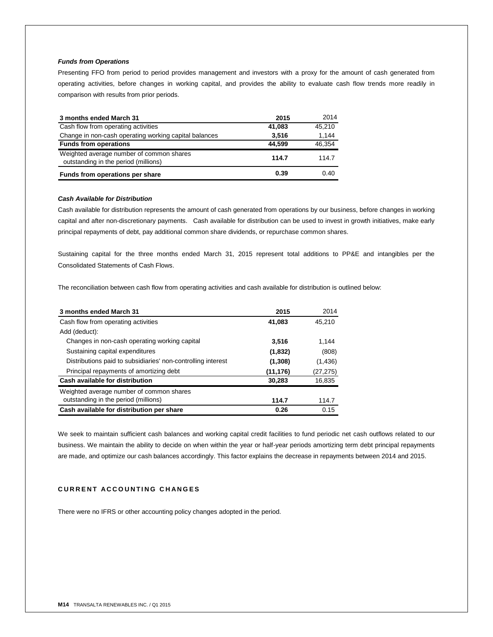## *Funds from Operations*

Presenting FFO from period to period provides management and investors with a proxy for the amount of cash generated from operating activities, before changes in working capital, and provides the ability to evaluate cash flow trends more readily in comparison with results from prior periods.

| 3 months ended March 31                                                          | 2015   | 2014   |
|----------------------------------------------------------------------------------|--------|--------|
| Cash flow from operating activities                                              | 41,083 | 45.210 |
| Change in non-cash operating working capital balances                            | 3,516  | 1,144  |
| <b>Funds from operations</b>                                                     | 44.599 | 46.354 |
| Weighted average number of common shares<br>outstanding in the period (millions) | 114.7  | 114.7  |
| Funds from operations per share                                                  | 0.39   | 0.40   |

### *Cash Available for Distribution*

Cash available for distribution represents the amount of cash generated from operations by our business, before changes in working capital and after non-discretionary payments. Cash available for distribution can be used to invest in growth initiatives, make early principal repayments of debt, pay additional common share dividends, or repurchase common shares.

Sustaining capital for the three months ended March 31, 2015 represent total additions to PP&E and intangibles per the Consolidated Statements of Cash Flows.

The reconciliation between cash flow from operating activities and cash available for distribution is outlined below:

| 3 months ended March 31                                      | 2015      | 2014      |
|--------------------------------------------------------------|-----------|-----------|
| Cash flow from operating activities                          | 41,083    | 45.210    |
| Add (deduct):                                                |           |           |
| Changes in non-cash operating working capital                | 3.516     | 1.144     |
| Sustaining capital expenditures                              | (1,832)   | (808)     |
| Distributions paid to subsidiaries' non-controlling interest | (1, 308)  | (1,436)   |
| Principal repayments of amortizing debt                      | (11, 176) | (27, 275) |
| Cash available for distribution                              | 30,283    | 16,835    |
| Weighted average number of common shares                     |           |           |
| outstanding in the period (millions)                         | 114.7     | 114.7     |
| Cash available for distribution per share                    | 0.26      | 0.15      |

We seek to maintain sufficient cash balances and working capital credit facilities to fund periodic net cash outflows related to our business. We maintain the ability to decide on when within the year or half-year periods amortizing term debt principal repayments are made, and optimize our cash balances accordingly. This factor explains the decrease in repayments between 2014 and 2015.

# **C U R R E N T A C C O U N T I N G C H A N G E S**

There were no IFRS or other accounting policy changes adopted in the period.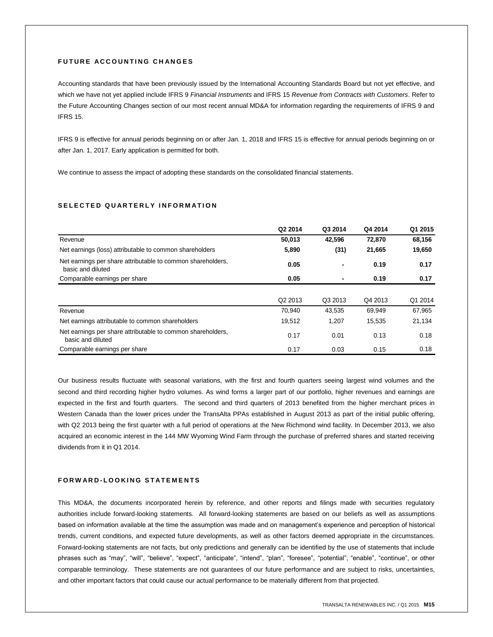## **FUTURE ACCOUNTING CHANGES**

Accounting standards that have been previously issued by the International Accounting Standards Board but not yet effective, and which we have not yet applied include IFRS 9 *Financial Instruments* and IFRS 15 *Revenue from Contracts with Customers*. Refer to the Future Accounting Changes section of our most recent annual MD&A for information regarding the requirements of IFRS 9 and IFRS 15.

IFRS 9 is effective for annual periods beginning on or after Jan. 1, 2018 and IFRS 15 is effective for annual periods beginning on or after Jan. 1, 2017. Early application is permitted for both.

We continue to assess the impact of adopting these standards on the consolidated financial statements.

### SELECTED QUARTERLY INFORMATION

|                                                                                  | Q2 2014             | Q3 2014        | Q4 2014 | Q1 2015 |
|----------------------------------------------------------------------------------|---------------------|----------------|---------|---------|
| Revenue                                                                          | 50,013              | 42.596         | 72,870  | 68,156  |
| Net earnings (loss) attributable to common shareholders                          | 5,890               | (31)           | 21,665  | 19,650  |
| Net earnings per share attributable to common shareholders,<br>basic and diluted | 0.05                | $\blacksquare$ | 0.19    | 0.17    |
| Comparable earnings per share                                                    | 0.05                | ٠              | 0.19    | 0.17    |
|                                                                                  |                     |                |         |         |
|                                                                                  | Q <sub>2</sub> 2013 | Q3 2013        | Q4 2013 | Q1 2014 |
| Revenue                                                                          | 70,940              | 43,535         | 69,949  | 67,965  |
| Net earnings attributable to common shareholders                                 | 19,512              | 1,207          | 15,535  | 21,134  |
| Net earnings per share attributable to common shareholders,<br>basic and diluted | 0.17                | 0.01           | 0.13    | 0.18    |
| Comparable earnings per share                                                    | 0.17                | 0.03           | 0.15    | 0.18    |

Our business results fluctuate with seasonal variations, with the first and fourth quarters seeing largest wind volumes and the second and third recording higher hydro volumes. As wind forms a larger part of our portfolio, higher revenues and earnings are expected in the first and fourth quarters. The second and third quarters of 2013 benefited from the higher merchant prices in Western Canada than the lower prices under the TransAlta PPAs established in August 2013 as part of the initial public offering, with Q2 2013 being the first quarter with a full period of operations at the New Richmond wind facility. In December 2013, we also acquired an economic interest in the 144 MW Wyoming Wind Farm through the purchase of preferred shares and started receiving dividends from it in Q1 2014.

### **F O R W A R D - L O O K I N G S T A T E M E N T S**

This MD&A, the documents incorporated herein by reference, and other reports and filings made with securities regulatory authorities include forward-looking statements. All forward-looking statements are based on our beliefs as well as assumptions based on information available at the time the assumption was made and on management's experience and perception of historical trends, current conditions, and expected future developments, as well as other factors deemed appropriate in the circumstances. Forward-looking statements are not facts, but only predictions and generally can be identified by the use of statements that include phrases such as "may", "will", "believe", "expect", "anticipate", "intend", "plan", "foresee", "potential", "enable", "continue", or other comparable terminology. These statements are not guarantees of our future performance and are subject to risks, uncertainties, and other important factors that could cause our actual performance to be materially different from that projected.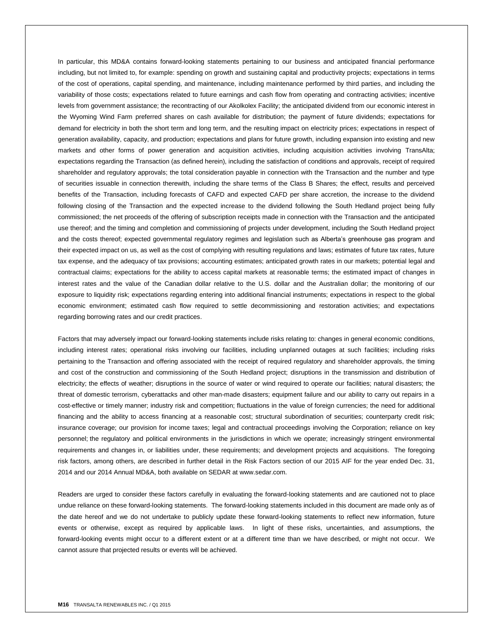In particular, this MD&A contains forward-looking statements pertaining to our business and anticipated financial performance including, but not limited to, for example: spending on growth and sustaining capital and productivity projects; expectations in terms of the cost of operations, capital spending, and maintenance, including maintenance performed by third parties, and including the variability of those costs; expectations related to future earnings and cash flow from operating and contracting activities; incentive levels from government assistance; the recontracting of our Akolkolex Facility; the anticipated dividend from our economic interest in the Wyoming Wind Farm preferred shares on cash available for distribution; the payment of future dividends; expectations for demand for electricity in both the short term and long term, and the resulting impact on electricity prices; expectations in respect of generation availability, capacity, and production; expectations and plans for future growth, including expansion into existing and new markets and other forms of power generation and acquisition activities, including acquisition activities involving TransAlta; expectations regarding the Transaction (as defined herein), including the satisfaction of conditions and approvals, receipt of required shareholder and regulatory approvals; the total consideration payable in connection with the Transaction and the number and type of securities issuable in connection therewith, including the share terms of the Class B Shares; the effect, results and perceived benefits of the Transaction, including forecasts of CAFD and expected CAFD per share accretion, the increase to the dividend following closing of the Transaction and the expected increase to the dividend following the South Hedland project being fully commissioned; the net proceeds of the offering of subscription receipts made in connection with the Transaction and the anticipated use thereof; and the timing and completion and commissioning of projects under development, including the South Hedland project and the costs thereof; expected governmental regulatory regimes and legislation such as Alberta's greenhouse gas program and their expected impact on us, as well as the cost of complying with resulting regulations and laws; estimates of future tax rates, future tax expense, and the adequacy of tax provisions; accounting estimates; anticipated growth rates in our markets; potential legal and contractual claims; expectations for the ability to access capital markets at reasonable terms; the estimated impact of changes in interest rates and the value of the Canadian dollar relative to the U.S. dollar and the Australian dollar; the monitoring of our exposure to liquidity risk; expectations regarding entering into additional financial instruments; expectations in respect to the global economic environment; estimated cash flow required to settle decommissioning and restoration activities; and expectations regarding borrowing rates and our credit practices.

Factors that may adversely impact our forward-looking statements include risks relating to: changes in general economic conditions, including interest rates; operational risks involving our facilities, including unplanned outages at such facilities; including risks pertaining to the Transaction and offering associated with the receipt of required regulatory and shareholder approvals, the timing and cost of the construction and commissioning of the South Hedland project; disruptions in the transmission and distribution of electricity; the effects of weather; disruptions in the source of water or wind required to operate our facilities; natural disasters; the threat of domestic terrorism, cyberattacks and other man-made disasters; equipment failure and our ability to carry out repairs in a cost-effective or timely manner; industry risk and competition; fluctuations in the value of foreign currencies; the need for additional financing and the ability to access financing at a reasonable cost; structural subordination of securities; counterparty credit risk; insurance coverage; our provision for income taxes; legal and contractual proceedings involving the Corporation; reliance on key personnel; the regulatory and political environments in the jurisdictions in which we operate; increasingly stringent environmental requirements and changes in, or liabilities under, these requirements; and development projects and acquisitions. The foregoing risk factors, among others, are described in further detail in the Risk Factors section of our 2015 AIF for the year ended Dec. 31, 2014 and our 2014 Annual MD&A, both available on SEDAR at www.sedar.com.

Readers are urged to consider these factors carefully in evaluating the forward-looking statements and are cautioned not to place undue reliance on these forward-looking statements. The forward-looking statements included in this document are made only as of the date hereof and we do not undertake to publicly update these forward-looking statements to reflect new information, future events or otherwise, except as required by applicable laws. In light of these risks, uncertainties, and assumptions, the forward-looking events might occur to a different extent or at a different time than we have described, or might not occur. We cannot assure that projected results or events will be achieved.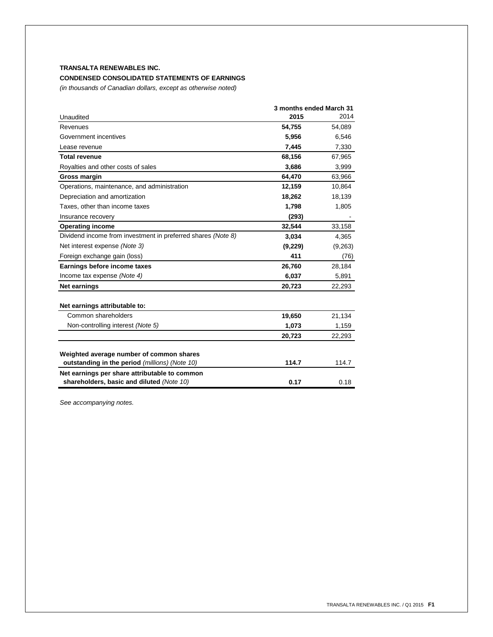# **TRANSALTA RENEWABLES INC.**

# **CONDENSED CONSOLIDATED STATEMENTS OF EARNINGS**

*(in thousands of Canadian dollars, except as otherwise noted)*

|                                                              |         | 3 months ended March 31 |
|--------------------------------------------------------------|---------|-------------------------|
| Unaudited                                                    | 2015    | 2014                    |
| Revenues                                                     | 54,755  | 54,089                  |
| Government incentives                                        | 5,956   | 6,546                   |
| Lease revenue                                                | 7,445   | 7,330                   |
| <b>Total revenue</b>                                         | 68,156  | 67,965                  |
| Royalties and other costs of sales                           | 3,686   | 3,999                   |
| Gross margin                                                 | 64,470  | 63,966                  |
| Operations, maintenance, and administration                  | 12,159  | 10,864                  |
| Depreciation and amortization                                | 18,262  | 18,139                  |
| Taxes, other than income taxes                               | 1,798   | 1,805                   |
| Insurance recovery                                           | (293)   |                         |
| <b>Operating income</b>                                      | 32,544  | 33,158                  |
| Dividend income from investment in preferred shares (Note 8) | 3,034   | 4,365                   |
| Net interest expense (Note 3)                                | (9,229) | (9,263)                 |
| Foreign exchange gain (loss)                                 | 411     | (76)                    |
| Earnings before income taxes                                 | 26,760  | 28,184                  |
| Income tax expense (Note 4)                                  | 6,037   | 5,891                   |
| <b>Net earnings</b>                                          | 20,723  | 22,293                  |
| Net earnings attributable to:                                |         |                         |
| Common shareholders                                          | 19,650  | 21,134                  |
| Non-controlling interest (Note 5)                            | 1,073   | 1,159                   |
|                                                              | 20,723  | 22,293                  |
| Weighted average number of common shares                     |         |                         |
| outstanding in the period (millions) (Note 10)               | 114.7   | 114.7                   |
| Net earnings per share attributable to common                |         |                         |
| shareholders, basic and diluted (Note 10)                    | 0.17    | 0.18                    |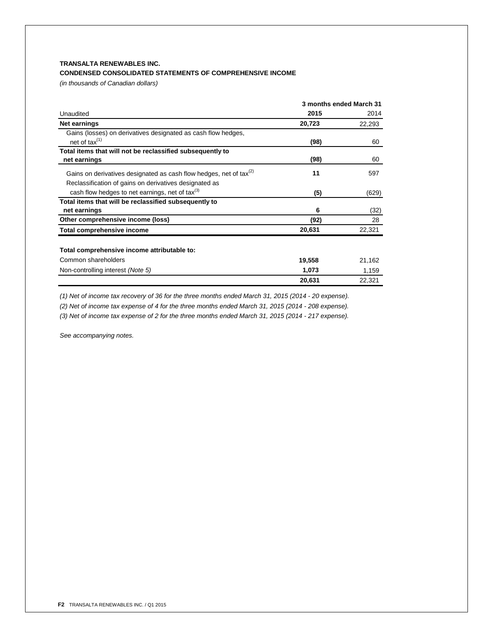# **TRANSALTA RENEWABLES INC.**

# **CONDENSED CONSOLIDATED STATEMENTS OF COMPREHENSIVE INCOME**

*(in thousands of Canadian dollars)*

|                                                                                | 3 months ended March 31 |        |  |
|--------------------------------------------------------------------------------|-------------------------|--------|--|
| Unaudited                                                                      | 2015                    | 2014   |  |
| Net earnings                                                                   | 20,723                  | 22,293 |  |
| Gains (losses) on derivatives designated as cash flow hedges,                  |                         |        |  |
| net of $tax^{(1)}$                                                             | (98)                    | 60     |  |
| Total items that will not be reclassified subsequently to                      |                         |        |  |
| net earnings                                                                   | (98)                    | 60     |  |
| Gains on derivatives designated as cash flow hedges, net of tax <sup>(2)</sup> | 11                      | 597    |  |
| Reclassification of gains on derivatives designated as                         |                         |        |  |
| cash flow hedges to net earnings, net of tax(3)                                | (5)                     | (629)  |  |
| Total items that will be reclassified subsequently to                          |                         |        |  |
| net earnings                                                                   | 6                       | (32)   |  |
| Other comprehensive income (loss)                                              | (92)                    | 28     |  |
| Total comprehensive income                                                     | 20,631                  | 22,321 |  |
| Total comprehensive income attributable to:                                    |                         |        |  |
| Common shareholders                                                            | 19,558                  | 21,162 |  |
| Non-controlling interest (Note 5)                                              | 1,073                   | 1,159  |  |
|                                                                                | 20,631                  | 22,321 |  |

*(1) Net of income tax recovery of 36 for the three months ended March 31, 2015 (2014 - 20 expense).*

*(2) Net of income tax expense of 4 for the three months ended March 31, 2015 (2014 - 208 expense).*

*(3) Net of income tax expense of 2 for the three months ended March 31, 2015 (2014 - 217 expense).*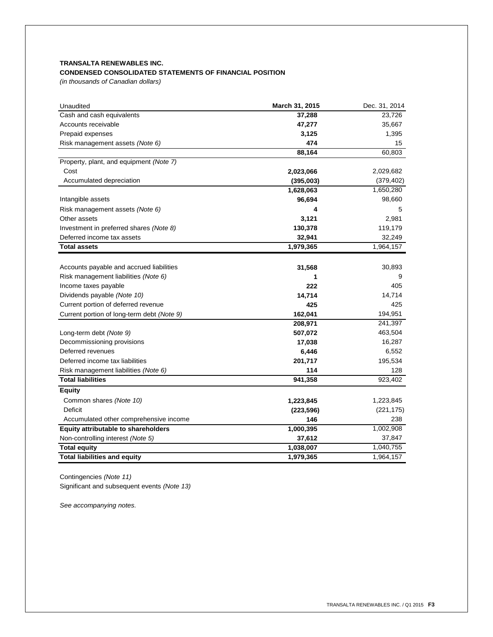# **TRANSALTA RENEWABLES INC. CONDENSED CONSOLIDATED STATEMENTS OF FINANCIAL POSITION**

*(in thousands of Canadian dollars)*

| Unaudited                                  | March 31, 2015 | Dec. 31, 2014 |
|--------------------------------------------|----------------|---------------|
| Cash and cash equivalents                  | 37,288         | 23,726        |
| Accounts receivable                        | 47,277         | 35,667        |
| Prepaid expenses                           | 3,125          | 1,395         |
| Risk management assets (Note 6)            | 474            | 15            |
|                                            | 88,164         | 60,803        |
| Property, plant, and equipment (Note 7)    |                |               |
| Cost                                       | 2,023,066      | 2,029,682     |
| Accumulated depreciation                   | (395,003)      | (379, 402)    |
|                                            | 1,628,063      | 1,650,280     |
| Intangible assets                          | 96,694         | 98,660        |
| Risk management assets (Note 6)            | 4              | 5             |
| Other assets                               | 3,121          | 2,981         |
| Investment in preferred shares (Note 8)    | 130,378        | 119,179       |
| Deferred income tax assets                 | 32,941         | 32,249        |
| <b>Total assets</b>                        | 1,979,365      | 1,964,157     |
|                                            |                |               |
| Accounts payable and accrued liabilities   | 31,568         | 30,893        |
| Risk management liabilities (Note 6)       | 1              | 9             |
| Income taxes payable                       | 222            | 405           |
| Dividends payable (Note 10)                | 14,714         | 14,714        |
| Current portion of deferred revenue        | 425            | 425           |
| Current portion of long-term debt (Note 9) | 162,041        | 194,951       |
|                                            | 208,971        | 241,397       |
| Long-term debt (Note 9)                    | 507,072        | 463,504       |
| Decommissioning provisions                 | 17,038         | 16,287        |
| Deferred revenues                          | 6,446          | 6,552         |
| Deferred income tax liabilities            | 201,717        | 195,534       |
| Risk management liabilities (Note 6)       | 114            | 128           |
| <b>Total liabilities</b>                   | 941,358        | 923,402       |
| <b>Equity</b>                              |                |               |
| Common shares (Note 10)                    | 1,223,845      | 1,223,845     |
| <b>Deficit</b>                             | (223, 596)     | (221, 175)    |
| Accumulated other comprehensive income     | 146            | 238           |
| Equity attributable to shareholders        | 1,000,395      | 1,002,908     |
| Non-controlling interest (Note 5)          | 37,612         | 37,847        |
| <b>Total equity</b>                        | 1,038,007      | 1,040,755     |
| <b>Total liabilities and equity</b>        | 1,979,365      | 1,964,157     |

Contingencies *(Note 11)*

Significant and subsequent events *(Note 13)*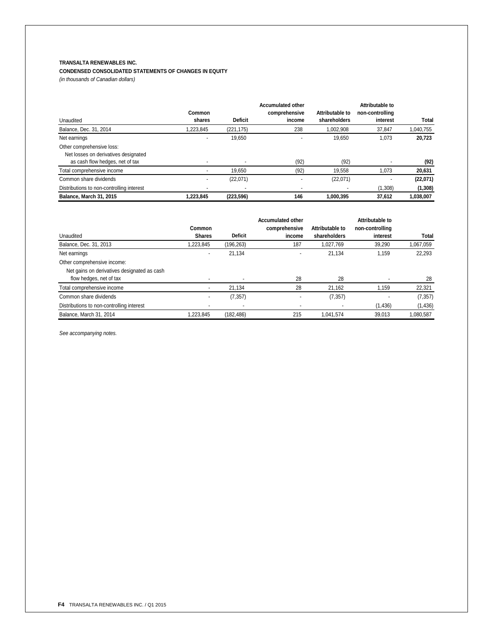# **TRANSALTA RENEWABLES INC.**

# **CONDENSED CONSOLIDATED STATEMENTS OF CHANGES IN EQUITY**

*(in thousands of Canadian dollars)*

|                                           |           |                | <b>Accumulated other</b> |                 | Attributable to |           |
|-------------------------------------------|-----------|----------------|--------------------------|-----------------|-----------------|-----------|
|                                           | Common    |                | comprehensive            | Attributable to | non-controlling |           |
| Unaudited                                 | shares    | <b>Deficit</b> | income                   | shareholders    | interest        | Total     |
| Balance, Dec. 31, 2014                    | .223.845  | (221, 175)     | 238                      | 1.002.908       | 37.847          | 1,040,755 |
| Net earnings                              |           | 19.650         | $\overline{\phantom{0}}$ | 19.650          | 1,073           | 20,723    |
| Other comprehensive loss:                 |           |                |                          |                 |                 |           |
| Net losses on derivatives designated      |           |                |                          |                 |                 |           |
| as cash flow hedges, net of tax           |           |                | (92)                     | (92)            |                 | (92)      |
| Total comprehensive income                |           | 19.650         | (92)                     | 19,558          | 1,073           | 20,631    |
| Common share dividends                    |           | (22,071)       | $\overline{\phantom{0}}$ | (22,071)        | -               | (22,071)  |
| Distributions to non-controlling interest |           |                | $\overline{\phantom{a}}$ |                 | (1,308)         | (1, 308)  |
| Balance, March 31, 2015                   | 1.223.845 | (223, 596)     | 146                      | 1.000.395       | 37.612          | 1.038.007 |

|                                             |               |                | <b>Accumulated other</b> |                 | Attributable to |           |
|---------------------------------------------|---------------|----------------|--------------------------|-----------------|-----------------|-----------|
|                                             | Common        |                | comprehensive            | Attributable to | non-controlling |           |
| Unaudited                                   | <b>Shares</b> | <b>Deficit</b> | income                   | shareholders    | interest        | Total     |
| Balance, Dec. 31, 2013                      | .223,845      | (196,263)      | 187                      | 1,027,769       | 39,290          | 1,067,059 |
| Net earnings                                |               | 21.134         |                          | 21.134          | 1.159           | 22,293    |
| Other comprehensive income:                 |               |                |                          |                 |                 |           |
| Net gains on derivatives designated as cash |               |                |                          |                 |                 |           |
| flow hedges, net of tax                     |               |                | 28                       | 28              |                 | 28        |
| Total comprehensive income                  |               | 21.134         | 28                       | 21.162          | 1,159           | 22,321    |
| Common share dividends                      |               | (7, 357)       |                          | (7, 357)        |                 | (7, 357)  |
| Distributions to non-controlling interest   |               |                |                          |                 | (1, 436)        | (1, 436)  |
| Balance, March 31, 2014                     | 1,223,845     | (182, 486)     | 215                      | 1,041,574       | 39.013          | 1,080,587 |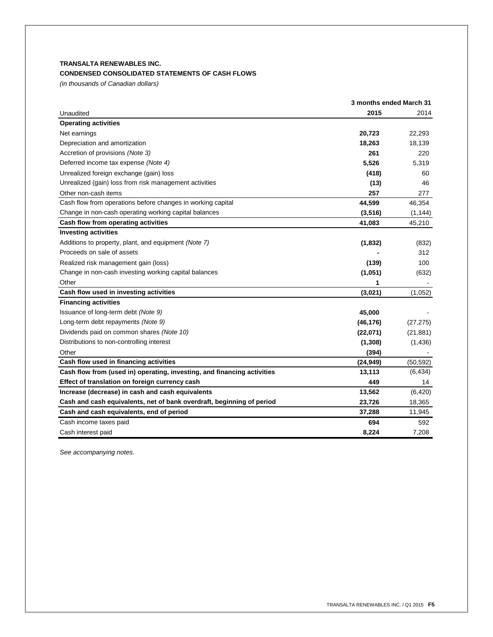# **TRANSALTA RENEWABLES INC.**

# **CONDENSED CONSOLIDATED STATEMENTS OF CASH FLOWS**

*(in thousands of Canadian dollars)*

|                                                                         | 3 months ended March 31 |           |
|-------------------------------------------------------------------------|-------------------------|-----------|
| Unaudited                                                               | 2015                    | 2014      |
| <b>Operating activities</b>                                             |                         |           |
| Net earnings                                                            | 20,723                  | 22.293    |
| Depreciation and amortization                                           | 18,263                  | 18,139    |
| Accretion of provisions (Note 3)                                        | 261                     | 220       |
| Deferred income tax expense (Note 4)                                    | 5,526                   | 5,319     |
| Unrealized foreign exchange (gain) loss                                 | (418)                   | 60        |
| Unrealized (gain) loss from risk management activities                  | (13)                    | 46        |
| Other non-cash items                                                    | 257                     | 277       |
| Cash flow from operations before changes in working capital             | 44,599                  | 46,354    |
| Change in non-cash operating working capital balances                   | (3, 516)                | (1, 144)  |
| Cash flow from operating activities                                     | 41,083                  | 45,210    |
| <b>Investing activities</b>                                             |                         |           |
| Additions to property, plant, and equipment (Note 7)                    | (1, 832)                | (832)     |
| Proceeds on sale of assets                                              |                         | 312       |
| Realized risk management gain (loss)                                    | (139)                   | 100       |
| Change in non-cash investing working capital balances                   | (1,051)                 | (632)     |
| Other                                                                   | 1                       |           |
| Cash flow used in investing activities                                  | (3,021)                 | (1,052)   |
| <b>Financing activities</b>                                             |                         |           |
| Issuance of long-term debt (Note 9)                                     | 45,000                  |           |
| Long-term debt repayments (Note 9)                                      | (46, 176)               | (27, 275) |
| Dividends paid on common shares (Note 10)                               | (22,071)                | (21, 881) |
| Distributions to non-controlling interest                               | (1,308)                 | (1,436)   |
| Other                                                                   | (394)                   |           |
| Cash flow used in financing activities                                  | (24, 949)               | (50, 592) |
| Cash flow from (used in) operating, investing, and financing activities | 13,113                  | (6, 434)  |
| Effect of translation on foreign currency cash                          | 449                     | 14        |
| Increase (decrease) in cash and cash equivalents                        | 13,562                  | (6, 420)  |
| Cash and cash equivalents, net of bank overdraft, beginning of period   | 23,726                  | 18,365    |
| Cash and cash equivalents, end of period                                | 37,288                  | 11,945    |
| Cash income taxes paid                                                  | 694                     | 592       |
| Cash interest paid                                                      | 8,224                   | 7,208     |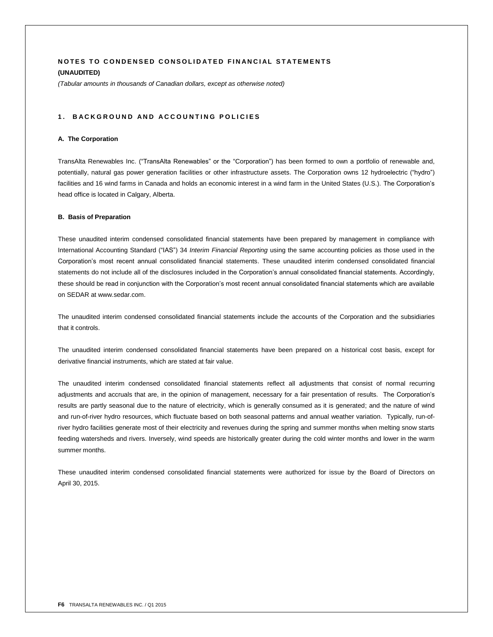# **NOTES TO CONDENSED CONSOLIDATED FINANCIAL STATEMENTS (UNAUDITED)**

*(Tabular amounts in thousands of Canadian dollars, except as otherwise noted)*

# 1. BACKGROUND AND ACCOUNTING POLICIES

### **A. The Corporation**

TransAlta Renewables Inc. ("TransAlta Renewables" or the "Corporation") has been formed to own a portfolio of renewable and, potentially, natural gas power generation facilities or other infrastructure assets. The Corporation owns 12 hydroelectric ("hydro") facilities and 16 wind farms in Canada and holds an economic interest in a wind farm in the United States (U.S.). The Corporation's head office is located in Calgary, Alberta.

### **B. Basis of Preparation**

These unaudited interim condensed consolidated financial statements have been prepared by management in compliance with International Accounting Standard ("IAS") 34 *Interim Financial Reporting* using the same accounting policies as those used in the Corporation's most recent annual consolidated financial statements. These unaudited interim condensed consolidated financial statements do not include all of the disclosures included in the Corporation's annual consolidated financial statements. Accordingly, these should be read in conjunction with the Corporation's most recent annual consolidated financial statements which are available on SEDAR at www.sedar.com.

The unaudited interim condensed consolidated financial statements include the accounts of the Corporation and the subsidiaries that it controls.

The unaudited interim condensed consolidated financial statements have been prepared on a historical cost basis, except for derivative financial instruments, which are stated at fair value.

The unaudited interim condensed consolidated financial statements reflect all adjustments that consist of normal recurring adjustments and accruals that are, in the opinion of management, necessary for a fair presentation of results. The Corporation's results are partly seasonal due to the nature of electricity, which is generally consumed as it is generated; and the nature of wind and run-of-river hydro resources, which fluctuate based on both seasonal patterns and annual weather variation. Typically, run-ofriver hydro facilities generate most of their electricity and revenues during the spring and summer months when melting snow starts feeding watersheds and rivers. Inversely, wind speeds are historically greater during the cold winter months and lower in the warm summer months.

These unaudited interim condensed consolidated financial statements were authorized for issue by the Board of Directors on April 30, 2015.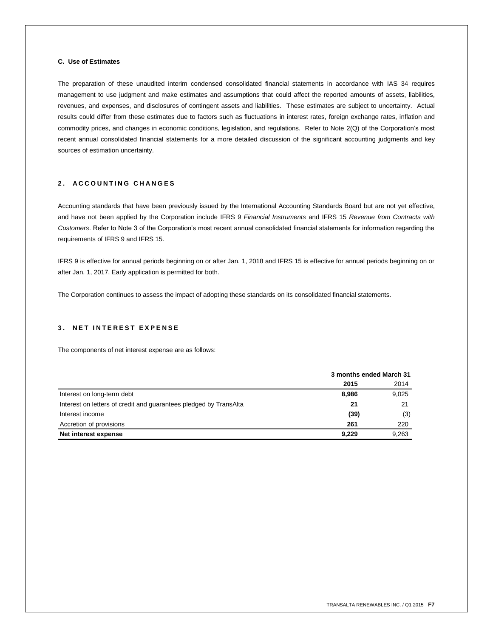## **C. Use of Estimates**

The preparation of these unaudited interim condensed consolidated financial statements in accordance with IAS 34 requires management to use judgment and make estimates and assumptions that could affect the reported amounts of assets, liabilities, revenues, and expenses, and disclosures of contingent assets and liabilities. These estimates are subject to uncertainty. Actual results could differ from these estimates due to factors such as fluctuations in interest rates, foreign exchange rates, inflation and commodity prices, and changes in economic conditions, legislation, and regulations. Refer to Note 2(Q) of the Corporation's most recent annual consolidated financial statements for a more detailed discussion of the significant accounting judgments and key sources of estimation uncertainty.

# **2 . A C C O U N T I N G C H A N G E S**

Accounting standards that have been previously issued by the International Accounting Standards Board but are not yet effective, and have not been applied by the Corporation include IFRS 9 *Financial Instruments* and IFRS 15 *Revenue from Contracts with Customers*. Refer to Note 3 of the Corporation's most recent annual consolidated financial statements for information regarding the requirements of IFRS 9 and IFRS 15.

IFRS 9 is effective for annual periods beginning on or after Jan. 1, 2018 and IFRS 15 is effective for annual periods beginning on or after Jan. 1, 2017. Early application is permitted for both.

The Corporation continues to assess the impact of adopting these standards on its consolidated financial statements.

# **3 . N E T I N T E R E S T E X P E N S E**

The components of net interest expense are as follows:

|                                                                   | 3 months ended March 31 |       |
|-------------------------------------------------------------------|-------------------------|-------|
|                                                                   | 2015                    | 2014  |
| Interest on long-term debt                                        | 8,986                   | 9,025 |
| Interest on letters of credit and guarantees pledged by TransAlta | 21                      | 21    |
| Interest income                                                   | (39)                    | (3)   |
| Accretion of provisions                                           | 261                     | 220   |
| Net interest expense                                              | 9.229                   | 9,263 |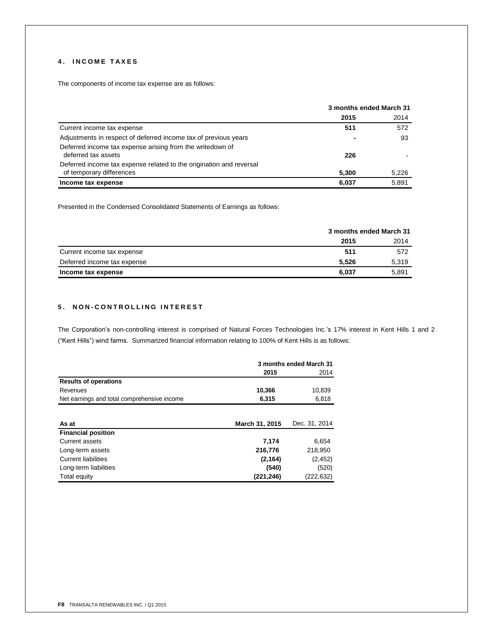# **4 . I N C O M E T A X E S**

The components of income tax expense are as follows:

|                                                                                  | 3 months ended March 31 |       |  |
|----------------------------------------------------------------------------------|-------------------------|-------|--|
|                                                                                  | 2015                    | 2014  |  |
| Current income tax expense                                                       | 511                     | 572   |  |
| Adjustments in respect of deferred income tax of previous years                  | $\blacksquare$          | 93    |  |
| Deferred income tax expense arising from the writedown of<br>deferred tax assets | 226                     |       |  |
| Deferred income tax expense related to the origination and reversal              |                         |       |  |
| of temporary differences                                                         | 5.300                   | 5,226 |  |
| Income tax expense                                                               | 6.037                   | 5.891 |  |

Presented in the Condensed Consolidated Statements of Earnings as follows:

|                             | 3 months ended March 31 |       |
|-----------------------------|-------------------------|-------|
|                             | 2015                    | 2014  |
| Current income tax expense  | 511                     | 572   |
| Deferred income tax expense | 5.526                   | 5,319 |
| Income tax expense          | 6.037                   | 5,891 |

# **5 . N O N - C O N T R O L L I N G I N T E R E S T**

The Corporation's non-controlling interest is comprised of Natural Forces Technologies Inc.'s 17% interest in Kent Hills 1 and 2 ("Kent Hills") wind farms. Summarized financial information relating to 100% of Kent Hills is as follows:

|                                             | 3 months ended March 31 |               |  |
|---------------------------------------------|-------------------------|---------------|--|
|                                             | 2015                    | 2014          |  |
| <b>Results of operations</b>                |                         |               |  |
| Revenues                                    | 10,366                  | 10,839        |  |
| Net earnings and total comprehensive income | 6,315                   | 6,818         |  |
|                                             |                         |               |  |
| As at                                       | March 31, 2015          | Dec. 31, 2014 |  |
| <b>Financial position</b>                   |                         |               |  |
| Current assets                              | 7,174                   | 6,654         |  |
| Long-term assets                            | 216,776                 | 218,950       |  |
| <b>Current liabilities</b>                  | (2, 164)                | (2, 452)      |  |
| Long-term liabilities                       | (540)                   | (520)         |  |
| Total equity                                | (221,246)               | (222,632)     |  |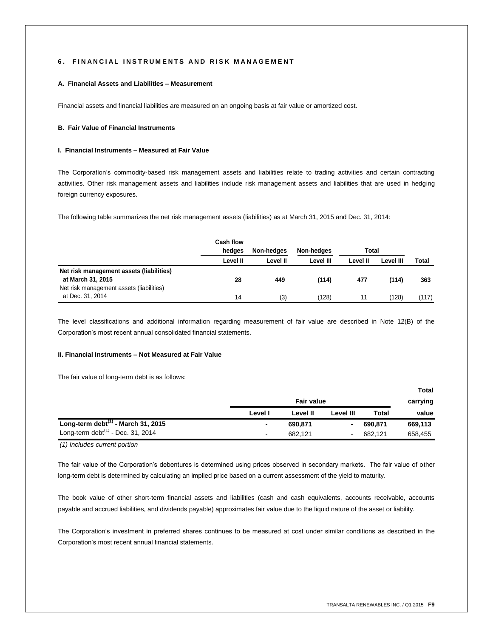### **6. FINANCIAL INSTRUMENTS AND RISK MANAGEMENT**

### **A. Financial Assets and Liabilities – Measurement**

Financial assets and financial liabilities are measured on an ongoing basis at fair value or amortized cost.

### **B. Fair Value of Financial Instruments**

### **I. Financial Instruments – Measured at Fair Value**

The Corporation's commodity-based risk management assets and liabilities relate to trading activities and certain contracting activities. Other risk management assets and liabilities include risk management assets and liabilities that are used in hedging foreign currency exposures.

The following table summarizes the net risk management assets (liabilities) as at March 31, 2015 and Dec. 31, 2014:

|                                                                                                           | Cash flow<br>hedges | Non-hedges | Non-hedges | Total    |           |       |
|-----------------------------------------------------------------------------------------------------------|---------------------|------------|------------|----------|-----------|-------|
|                                                                                                           | Level II            | Level II   | Level III  | Level II | Level III | Total |
| Net risk management assets (liabilities)<br>at March 31, 2015<br>Net risk management assets (liabilities) | 28                  | 449        | (114)      | 477      | (114)     | 363   |
| at Dec. 31, 2014                                                                                          | 14                  | (3)        | (128)      | 11       | (128)     | (117) |

The level classifications and additional information regarding measurement of fair value are described in Note 12(B) of the Corporation's most recent annual consolidated financial statements.

### **II. Financial Instruments – Not Measured at Fair Value**

The fair value of long-term debt is as follows:

|                                          |         |                   |           |              | <b>Total</b> |
|------------------------------------------|---------|-------------------|-----------|--------------|--------------|
|                                          |         | <b>Fair value</b> |           |              | carrying     |
|                                          | Level I | Level II          | Level III | <b>Total</b> | value        |
| Long-term debt $^{(1)}$ - March 31, 2015 |         | 690.871           |           | 690.871      | 669.113      |
| Long-term debt $(1)$ - Dec. 31, 2014     | ٠       | 682.121           |           | 682.121      | 658,455      |

*(1) Includes current portion*

The fair value of the Corporation's debentures is determined using prices observed in secondary markets. The fair value of other long-term debt is determined by calculating an implied price based on a current assessment of the yield to maturity.

The book value of other short-term financial assets and liabilities (cash and cash equivalents, accounts receivable, accounts payable and accrued liabilities, and dividends payable) approximates fair value due to the liquid nature of the asset or liability.

The Corporation's investment in preferred shares continues to be measured at cost under similar conditions as described in the Corporation's most recent annual financial statements.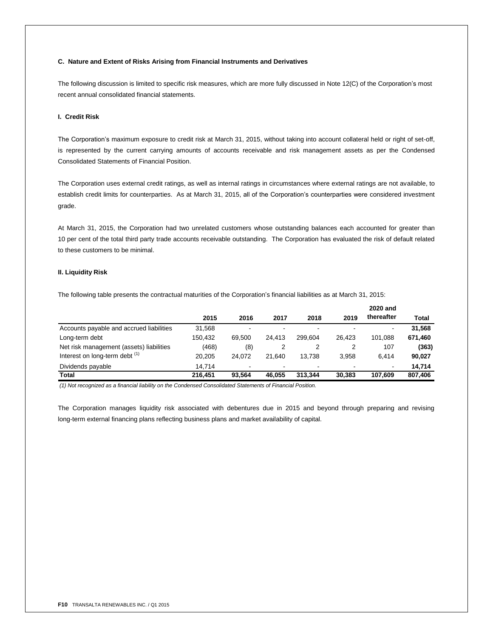### **C. Nature and Extent of Risks Arising from Financial Instruments and Derivatives**

The following discussion is limited to specific risk measures, which are more fully discussed in Note 12(C) of the Corporation's most recent annual consolidated financial statements.

### **I. Credit Risk**

The Corporation's maximum exposure to credit risk at March 31, 2015, without taking into account collateral held or right of set-off, is represented by the current carrying amounts of accounts receivable and risk management assets as per the Condensed Consolidated Statements of Financial Position.

The Corporation uses external credit ratings, as well as internal ratings in circumstances where external ratings are not available, to establish credit limits for counterparties. As at March 31, 2015, all of the Corporation's counterparties were considered investment grade.

At March 31, 2015, the Corporation had two unrelated customers whose outstanding balances each accounted for greater than 10 per cent of the total third party trade accounts receivable outstanding. The Corporation has evaluated the risk of default related to these customers to be minimal.

# **II. Liquidity Risk**

The following table presents the contractual maturities of the Corporation's financial liabilities as at March 31, 2015:

|                                           |         |                          |        |         |        | 2020 and       |         |
|-------------------------------------------|---------|--------------------------|--------|---------|--------|----------------|---------|
|                                           | 2015    | 2016                     | 2017   | 2018    | 2019   | thereafter     | Total   |
| Accounts payable and accrued liabilities  | 31,568  |                          |        | -       |        | $\blacksquare$ | 31.568  |
| Long-term debt                            | 150.432 | 69.500                   | 24.413 | 299.604 | 26.423 | 101.088        | 671,460 |
| Net risk management (assets) liabilities  | (468)   | (8)                      |        |         | 2      | 107            | (363)   |
| Interest on long-term debt <sup>(1)</sup> | 20.205  | 24.072                   | 21.640 | 13.738  | 3.958  | 6.414          | 90,027  |
| Dividends payable                         | 14.714  | $\overline{\phantom{0}}$ | -      | -       |        | ٠              | 14.714  |
| Total                                     | 216.451 | 93.564                   | 46.055 | 313.344 | 30.383 | 107.609        | 807,406 |

*(1) Not recognized as a financial liability on the Condensed Consolidated Statements of Financial Position.*

The Corporation manages liquidity risk associated with debentures due in 2015 and beyond through preparing and revising long-term external financing plans reflecting business plans and market availability of capital.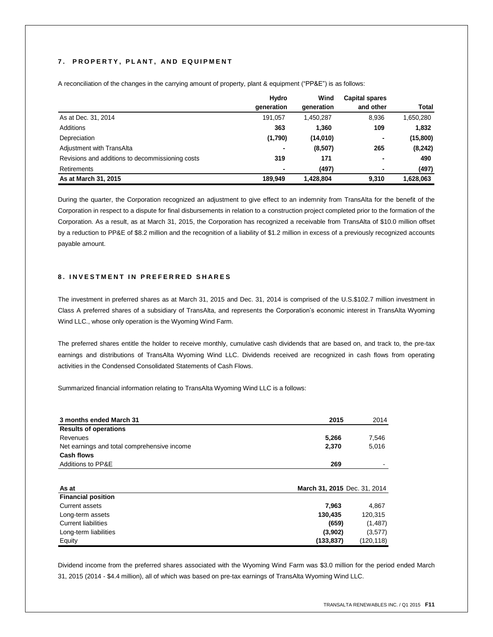# **7 . P R O P E R T Y , P L A N T , A N D E Q U I P M E N T**

|                                                  | Hydro      | Wind       | <b>Capital spares</b> |           |
|--------------------------------------------------|------------|------------|-----------------------|-----------|
|                                                  | generation | generation | and other             | Total     |
| As at Dec. 31, 2014                              | 191.057    | 1.450.287  | 8,936                 | 1,650,280 |
| Additions                                        | 363        | 1,360      | 109                   | 1.832     |
| Depreciation                                     | (1,790)    | (14,010)   | ٠                     | (15,800)  |
| Adjustment with TransAlta                        | ٠          | (8,507)    | 265                   | (8, 242)  |
| Revisions and additions to decommissioning costs | 319        | 171        | ٠                     | 490       |
| Retirements                                      |            | (497)      | ۰                     | (497)     |
| As at March 31, 2015                             | 189.949    | 1,428,804  | 9.310                 | 1.628.063 |

A reconciliation of the changes in the carrying amount of property, plant & equipment ("PP&E") is as follows:

During the quarter, the Corporation recognized an adjustment to give effect to an indemnity from TransAlta for the benefit of the Corporation in respect to a dispute for final disbursements in relation to a construction project completed prior to the formation of the Corporation. As a result, as at March 31, 2015, the Corporation has recognized a receivable from TransAlta of \$10.0 million offset by a reduction to PP&E of \$8.2 million and the recognition of a liability of \$1.2 million in excess of a previously recognized accounts payable amount.

# **8 . I N V E S T M E N T I N P R E F E R R E D S H A R E S**

The investment in preferred shares as at March 31, 2015 and Dec. 31, 2014 is comprised of the U.S.\$102.7 million investment in Class A preferred shares of a subsidiary of TransAlta, and represents the Corporation's economic interest in TransAlta Wyoming Wind LLC., whose only operation is the Wyoming Wind Farm.

The preferred shares entitle the holder to receive monthly, cumulative cash dividends that are based on, and track to, the pre-tax earnings and distributions of TransAlta Wyoming Wind LLC. Dividends received are recognized in cash flows from operating activities in the Condensed Consolidated Statements of Cash Flows.

Summarized financial information relating to TransAlta Wyoming Wind LLC is a follows:

| 3 months ended March 31                     | 2015                         | 2014    |
|---------------------------------------------|------------------------------|---------|
| <b>Results of operations</b>                |                              |         |
| Revenues                                    | 5,266                        | 7,546   |
| Net earnings and total comprehensive income | 2,370                        | 5,016   |
| Cash flows                                  |                              |         |
| <b>Additions to PP&amp;E</b>                | 269                          |         |
| As at                                       | March 31, 2015 Dec. 31, 2014 |         |
| <b>Financial position</b>                   |                              |         |
| Current assets                              | 7,963                        | 4,867   |
| Long-term assets                            | 130,435                      | 120,315 |
| <b>Current liabilities</b>                  | (659)                        | (1,487) |
| Long-term liabilities                       | (3,902)                      | (3,577) |
|                                             |                              |         |

Dividend income from the preferred shares associated with the Wyoming Wind Farm was \$3.0 million for the period ended March 31, 2015 (2014 - \$4.4 million), all of which was based on pre-tax earnings of TransAlta Wyoming Wind LLC.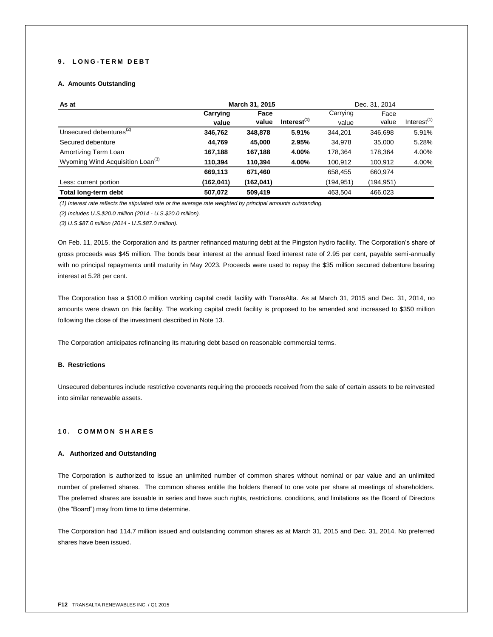# **9 . L O N G - T E R M D E B T**

# **A. Amounts Outstanding**

| As at                                        | March 31, 2015 |           |                |           | Dec. 31, 2014 |                |
|----------------------------------------------|----------------|-----------|----------------|-----------|---------------|----------------|
|                                              | Carrying       | Face      |                | Carrying  | Face          |                |
|                                              | value          | value     | Interest $(1)$ | value     | value         | Interest $(1)$ |
| Unsecured debentures <sup>(2)</sup>          | 346,762        | 348,878   | 5.91%          | 344,201   | 346,698       | 5.91%          |
| Secured debenture                            | 44.769         | 45.000    | 2.95%          | 34.978    | 35.000        | 5.28%          |
| Amortizing Term Loan                         | 167,188        | 167,188   | 4.00%          | 178.364   | 178,364       | 4.00%          |
| Wyoming Wind Acquisition Loan <sup>(3)</sup> | 110,394        | 110,394   | 4.00%          | 100,912   | 100,912       | 4.00%          |
|                                              | 669,113        | 671,460   |                | 658,455   | 660.974       |                |
| Less: current portion                        | (162,041)      | (162,041) |                | (194,951) | (194,951)     |                |
| Total long-term debt                         | 507,072        | 509,419   |                | 463.504   | 466,023       |                |

*(1) Interest rate reflects the stipulated rate or the average rate weighted by principal amounts outstanding.*

*(2) Includes U.S.\$20.0 million (2014 - U.S.\$20.0 million).*

*(3) U.S.\$87.0 million (2014 - U.S.\$87.0 million).*

On Feb. 11, 2015, the Corporation and its partner refinanced maturing debt at the Pingston hydro facility. The Corporation's share of gross proceeds was \$45 million. The bonds bear interest at the annual fixed interest rate of 2.95 per cent, payable semi-annually with no principal repayments until maturity in May 2023. Proceeds were used to repay the \$35 million secured debenture bearing interest at 5.28 per cent.

The Corporation has a \$100.0 million working capital credit facility with TransAlta. As at March 31, 2015 and Dec. 31, 2014, no amounts were drawn on this facility. The working capital credit facility is proposed to be amended and increased to \$350 million following the close of the investment described in Note 13.

The Corporation anticipates refinancing its maturing debt based on reasonable commercial terms.

# **B. Restrictions**

Unsecured debentures include restrictive covenants requiring the proceeds received from the sale of certain assets to be reinvested into similar renewable assets.

### **1 0 . C O M M O N S H A R E S**

### **A. Authorized and Outstanding**

The Corporation is authorized to issue an unlimited number of common shares without nominal or par value and an unlimited number of preferred shares. The common shares entitle the holders thereof to one vote per share at meetings of shareholders. The preferred shares are issuable in series and have such rights, restrictions, conditions, and limitations as the Board of Directors (the "Board") may from time to time determine.

The Corporation had 114.7 million issued and outstanding common shares as at March 31, 2015 and Dec. 31, 2014. No preferred shares have been issued.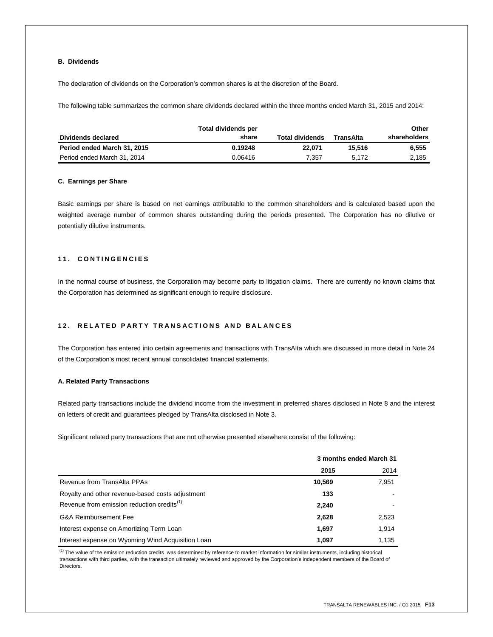# **B. Dividends**

The declaration of dividends on the Corporation's common shares is at the discretion of the Board.

The following table summarizes the common share dividends declared within the three months ended March 31, 2015 and 2014:

|                             | Total dividends per |                        |           | Other        |
|-----------------------------|---------------------|------------------------|-----------|--------------|
| Dividends declared          | share               | <b>Total dividends</b> | TransAlta | shareholders |
| Period ended March 31, 2015 | 0.19248             | 22.071                 | 15.516    | 6.555        |
| Period ended March 31, 2014 | 0.06416             | 7.357                  | 5.172     | 2,185        |

### **C. Earnings per Share**

Basic earnings per share is based on net earnings attributable to the common shareholders and is calculated based upon the weighted average number of common shares outstanding during the periods presented. The Corporation has no dilutive or potentially dilutive instruments.

# **1 1 . C O N T I N G E N C I E S**

In the normal course of business, the Corporation may become party to litigation claims. There are currently no known claims that the Corporation has determined as significant enough to require disclosure.

# **1 2 . R E L A T E D P A R T Y T R A N S A C T I O N S A N D B A L A N C E S**

The Corporation has entered into certain agreements and transactions with TransAlta which are discussed in more detail in Note 24 of the Corporation's most recent annual consolidated financial statements.

### **A. Related Party Transactions**

Related party transactions include the dividend income from the investment in preferred shares disclosed in Note 8 and the interest on letters of credit and guarantees pledged by TransAlta disclosed in Note 3.

Significant related party transactions that are not otherwise presented elsewhere consist of the following:

|                                                        | 3 months ended March 31 |       |
|--------------------------------------------------------|-------------------------|-------|
|                                                        | 2015                    | 2014  |
| Revenue from TransAlta PPAs                            | 10,569                  | 7,951 |
| Royalty and other revenue-based costs adjustment       | 133                     |       |
| Revenue from emission reduction credits <sup>(1)</sup> | 2,240                   |       |
| <b>G&amp;A Reimbursement Fee</b>                       | 2,628                   | 2,523 |
| Interest expense on Amortizing Term Loan               | 1,697                   | 1,914 |
| Interest expense on Wyoming Wind Acquisition Loan      | 1.097                   | 1,135 |

 $<sup>(1)</sup>$  The value of the emission reduction credits was determined by reference to market information for similar instruments, including historical</sup> transactions with third parties, with the transaction ultimately reviewed and approved by the Corporation's independent members of the Board of Directors.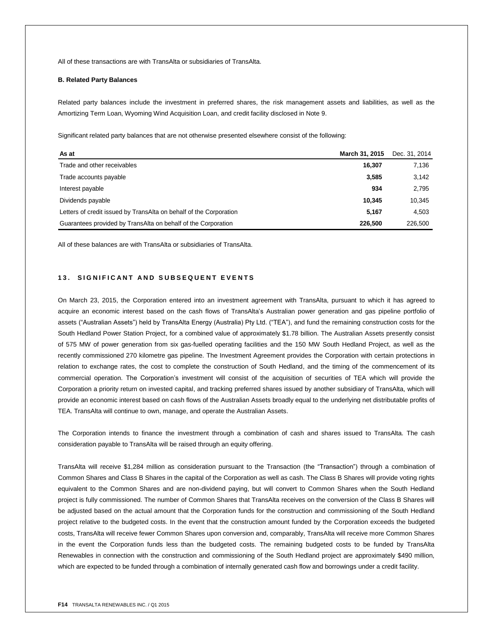All of these transactions are with TransAlta or subsidiaries of TransAlta.

### **B. Related Party Balances**

Related party balances include the investment in preferred shares, the risk management assets and liabilities, as well as the Amortizing Term Loan, Wyoming Wind Acquisition Loan, and credit facility disclosed in Note 9.

Significant related party balances that are not otherwise presented elsewhere consist of the following:

| As at                                                              | March 31, 2015 | Dec. 31, 2014 |
|--------------------------------------------------------------------|----------------|---------------|
| Trade and other receivables                                        | 16.307         | 7.136         |
| Trade accounts payable                                             | 3,585          | 3,142         |
| Interest payable                                                   | 934            | 2.795         |
| Dividends payable                                                  | 10.345         | 10,345        |
| Letters of credit issued by TransAlta on behalf of the Corporation | 5.167          | 4.503         |
| Guarantees provided by TransAlta on behalf of the Corporation      | 226.500        | 226,500       |

All of these balances are with TransAlta or subsidiaries of TransAlta.

### 13. SIGNIFICANT AND SUBSEQUENT EVENTS

On March 23, 2015, the Corporation entered into an investment agreement with TransAlta, pursuant to which it has agreed to acquire an economic interest based on the cash flows of TransAlta's Australian power generation and gas pipeline portfolio of assets ("Australian Assets") held by TransAlta Energy (Australia) Pty Ltd. ("TEA"), and fund the remaining construction costs for the South Hedland Power Station Project, for a combined value of approximately \$1.78 billion. The Australian Assets presently consist of 575 MW of power generation from six gas-fuelled operating facilities and the 150 MW South Hedland Project, as well as the recently commissioned 270 kilometre gas pipeline. The Investment Agreement provides the Corporation with certain protections in relation to exchange rates, the cost to complete the construction of South Hedland, and the timing of the commencement of its commercial operation. The Corporation's investment will consist of the acquisition of securities of TEA which will provide the Corporation a priority return on invested capital, and tracking preferred shares issued by another subsidiary of TransAlta, which will provide an economic interest based on cash flows of the Australian Assets broadly equal to the underlying net distributable profits of TEA. TransAlta will continue to own, manage, and operate the Australian Assets.

The Corporation intends to finance the investment through a combination of cash and shares issued to TransAlta. The cash consideration payable to TransAlta will be raised through an equity offering.

TransAlta will receive \$1,284 million as consideration pursuant to the Transaction (the "Transaction") through a combination of Common Shares and Class B Shares in the capital of the Corporation as well as cash. The Class B Shares will provide voting rights equivalent to the Common Shares and are non-dividend paying, but will convert to Common Shares when the South Hedland project is fully commissioned. The number of Common Shares that TransAlta receives on the conversion of the Class B Shares will be adjusted based on the actual amount that the Corporation funds for the construction and commissioning of the South Hedland project relative to the budgeted costs. In the event that the construction amount funded by the Corporation exceeds the budgeted costs, TransAlta will receive fewer Common Shares upon conversion and, comparably, TransAlta will receive more Common Shares in the event the Corporation funds less than the budgeted costs. The remaining budgeted costs to be funded by TransAlta Renewables in connection with the construction and commissioning of the South Hedland project are approximately \$490 million, which are expected to be funded through a combination of internally generated cash flow and borrowings under a credit facility.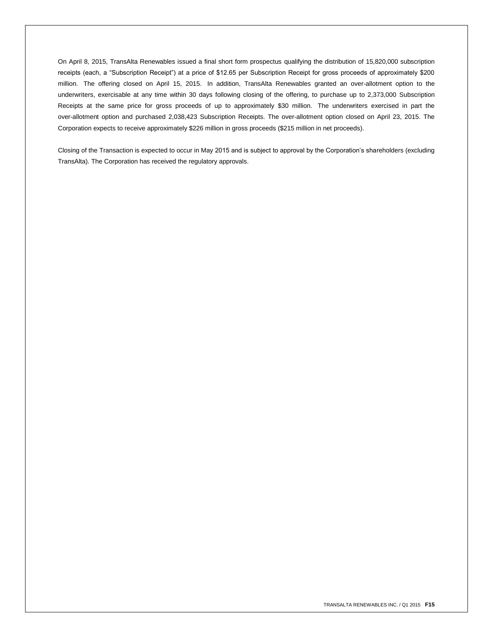On April 8, 2015, TransAlta Renewables issued a final short form prospectus qualifying the distribution of 15,820,000 subscription receipts (each, a "Subscription Receipt") at a price of \$12.65 per Subscription Receipt for gross proceeds of approximately \$200 million. The offering closed on April 15, 2015. In addition, TransAlta Renewables granted an over-allotment option to the underwriters, exercisable at any time within 30 days following closing of the offering, to purchase up to 2,373,000 Subscription Receipts at the same price for gross proceeds of up to approximately \$30 million. The underwriters exercised in part the over-allotment option and purchased 2,038,423 Subscription Receipts. The over-allotment option closed on April 23, 2015. The Corporation expects to receive approximately \$226 million in gross proceeds (\$215 million in net proceeds).

Closing of the Transaction is expected to occur in May 2015 and is subject to approval by the Corporation's shareholders (excluding TransAlta). The Corporation has received the regulatory approvals.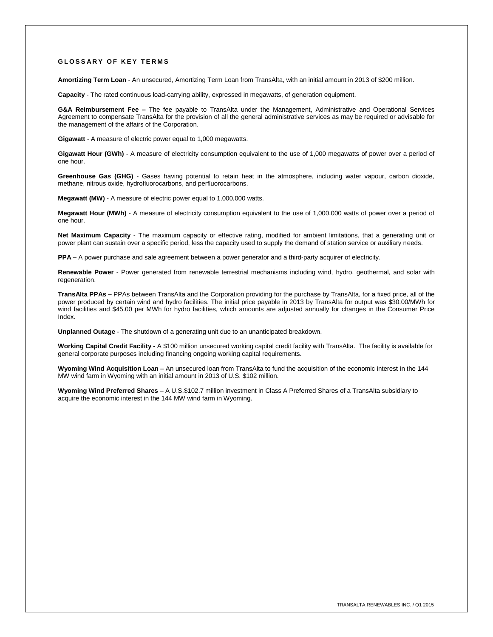### **GLOSSARY OF KEY TERMS**

**Amortizing Term Loan** - An unsecured, Amortizing Term Loan from TransAlta, with an initial amount in 2013 of \$200 million.

**Capacity** - The rated continuous load-carrying ability, expressed in megawatts, of generation equipment.

**G&A Reimbursement Fee –** The fee payable to TransAlta under the Management, Administrative and Operational Services Agreement to compensate TransAlta for the provision of all the general administrative services as may be required or advisable for the management of the affairs of the Corporation.

**Gigawatt** - A measure of electric power equal to 1,000 megawatts.

**Gigawatt Hour (GWh)** - A measure of electricity consumption equivalent to the use of 1,000 megawatts of power over a period of one hour.

**Greenhouse Gas (GHG)** - Gases having potential to retain heat in the atmosphere, including water vapour, carbon dioxide, methane, nitrous oxide, hydrofluorocarbons, and perfluorocarbons.

**Megawatt (MW)** - A measure of electric power equal to 1,000,000 watts.

**Megawatt Hour (MWh)** - A measure of electricity consumption equivalent to the use of 1,000,000 watts of power over a period of one hour.

**Net Maximum Capacity** - The maximum capacity or effective rating, modified for ambient limitations, that a generating unit or power plant can sustain over a specific period, less the capacity used to supply the demand of station service or auxiliary needs.

**PPA –** A power purchase and sale agreement between a power generator and a third-party acquirer of electricity.

**Renewable Power** - Power generated from renewable terrestrial mechanisms including wind, hydro, geothermal, and solar with regeneration.

**TransAlta PPAs –** PPAs between TransAlta and the Corporation providing for the purchase by TransAlta, for a fixed price, all of the power produced by certain wind and hydro facilities. The initial price payable in 2013 by TransAlta for output was \$30.00/MWh for wind facilities and \$45.00 per MWh for hydro facilities, which amounts are adjusted annually for changes in the Consumer Price Index.

**Unplanned Outage** - The shutdown of a generating unit due to an unanticipated breakdown.

**Working Capital Credit Facility -** A \$100 million unsecured working capital credit facility with TransAlta. The facility is available for general corporate purposes including financing ongoing working capital requirements.

**Wyoming Wind Acquisition Loan** – An unsecured loan from TransAlta to fund the acquisition of the economic interest in the 144 MW wind farm in Wyoming with an initial amount in 2013 of U.S. \$102 million.

**Wyoming Wind Preferred Shares** – A U.S.\$102.7 million investment in Class A Preferred Shares of a TransAlta subsidiary to acquire the economic interest in the 144 MW wind farm in Wyoming.